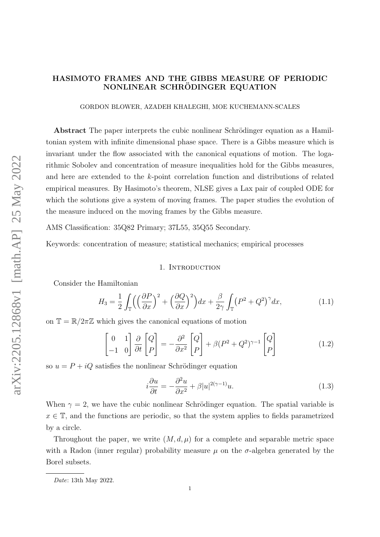# HASIMOTO FRAMES AND THE GIBBS MEASURE OF PERIODIC NONLINEAR SCHRÖDINGER EQUATION

GORDON BLOWER, AZADEH KHALEGHI, MOE KUCHEMANN-SCALES

Abstract The paper interprets the cubic nonlinear Schrödinger equation as a Hamiltonian system with infinite dimensional phase space. There is a Gibbs measure which is invariant under the flow associated with the canonical equations of motion. The logarithmic Sobolev and concentration of measure inequalities hold for the Gibbs measures, and here are extended to the k-point correlation function and distributions of related empirical measures. By Hasimoto's theorem, NLSE gives a Lax pair of coupled ODE for which the solutions give a system of moving frames. The paper studies the evolution of the measure induced on the moving frames by the Gibbs measure.

AMS Classification: 35Q82 Primary; 37L55, 35Q55 Secondary.

Keywords: concentration of measure; statistical mechanics; empirical processes

### 1. INTRODUCTION

Consider the Hamiltonian

$$
H_3 = \frac{1}{2} \int_{\mathbb{T}} \left( \left( \frac{\partial P}{\partial x} \right)^2 + \left( \frac{\partial Q}{\partial x} \right)^2 \right) dx + \frac{\beta}{2\gamma} \int_{\mathbb{T}} \left( P^2 + Q^2 \right)^{\gamma} dx, \tag{1.1}
$$

on  $\mathbb{T} = \mathbb{R}/2\pi\mathbb{Z}$  which gives the canonical equations of motion

<span id="page-0-1"></span>
$$
\begin{bmatrix} 0 & 1 \ -1 & 0 \end{bmatrix} \frac{\partial}{\partial t} \begin{bmatrix} Q \ P \end{bmatrix} = -\frac{\partial^2}{\partial x^2} \begin{bmatrix} Q \ P \end{bmatrix} + \beta (P^2 + Q^2)^{\gamma - 1} \begin{bmatrix} Q \ P \end{bmatrix}
$$
(1.2)

so  $u = P + iQ$  satisfies the nonlinear Schrödinger equation

<span id="page-0-0"></span>
$$
i\frac{\partial u}{\partial t} = -\frac{\partial^2 u}{\partial x^2} + \beta |u|^{2(\gamma - 1)} u.
$$
\n(1.3)

When  $\gamma = 2$ , we have the cubic nonlinear Schrödinger equation. The spatial variable is  $x \in \mathbb{T}$ , and the functions are periodic, so that the system applies to fields parametrized by a circle.

Throughout the paper, we write  $(M, d, \mu)$  for a complete and separable metric space with a Radon (inner regular) probability measure  $\mu$  on the  $\sigma$ -algebra generated by the Borel subsets.

Date: 13th May 2022.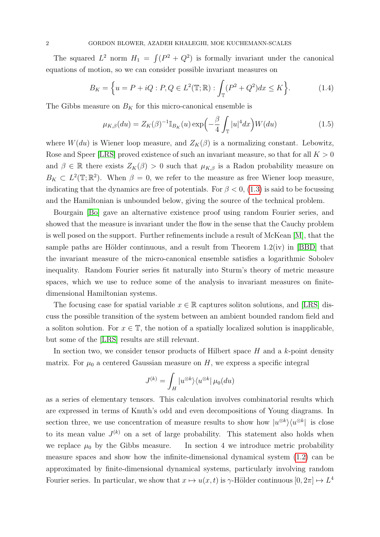The squared  $L^2$  norm  $H_1 = \int (P^2 + Q^2)$  is formally invariant under the canonical equations of motion, so we can consider possible invariant measures on

$$
B_K = \left\{ u = P + iQ : P, Q \in L^2(\mathbb{T}; \mathbb{R}) : \int_{\mathbb{T}} (P^2 + Q^2) dx \le K \right\}.
$$
 (1.4)

The Gibbs measure on  $B_K$  for this micro-canonical ensemble is

<span id="page-1-0"></span>
$$
\mu_{K,\beta}(du) = Z_K(\beta)^{-1} \mathbb{I}_{B_K}(u) \exp\left(-\frac{\beta}{4} \int_{\mathbb{T}} |u|^4 dx\right) W(du) \tag{1.5}
$$

where  $W(du)$  is Wiener loop measure, and  $Z_K(\beta)$  is a normalizing constant. Lebowitz, Rose and Speer [\[LRS\]](#page-34-0) proved existence of such an invariant measure, so that for all  $K > 0$ and  $\beta \in \mathbb{R}$  there exists  $Z_K(\beta) > 0$  such that  $\mu_{K,\beta}$  is a Radon probability measure on  $B_K \subset L^2(\mathbb{T}; \mathbb{R}^2)$ . When  $\beta = 0$ , we refer to the measure as free Wiener loop measure, indicating that the dynamics are free of potentials. For  $\beta < 0$ , [\(1.3\)](#page-0-0) is said to be focussing and the Hamiltonian is unbounded below, giving the source of the technical problem.

Bourgain [\[Bo\]](#page-34-1) gave an alternative existence proof using random Fourier series, and showed that the measure is invariant under the flow in the sense that the Cauchy problem is well posed on the support. Further refinements include a result of McKean [\[M\]](#page-35-0), that the sample paths are Hölder continuous, and a result from Theorem  $1.2(iv)$  in [\[BBD\]](#page-34-2) that the invariant measure of the micro-canonical ensemble satisfies a logarithmic Sobolev inequality. Random Fourier series fit naturally into Sturm's theory of metric measure spaces, which we use to reduce some of the analysis to invariant measures on finitedimensional Hamiltonian systems.

The focusing case for spatial variable  $x \in \mathbb{R}$  captures soliton solutions, and [\[LRS\]](#page-34-0) discuss the possible transition of the system between an ambient bounded random field and a soliton solution. For  $x \in \mathbb{T}$ , the notion of a spatially localized solution is inapplicable, but some of the [\[LRS\]](#page-34-0) results are still relevant.

In section two, we consider tensor products of Hilbert space  $H$  and a  $k$ -point density matrix. For  $\mu_0$  a centered Gaussian measure on H, we express a specific integral

$$
J^{(k)} = \int_H |u^{\otimes k}\rangle\langle u^{\otimes k}|\,\mu_0(du)
$$

as a series of elementary tensors. This calculation involves combinatorial results which are expressed in terms of Knuth's odd and even decompositions of Young diagrams. In section three, we use concentration of measure results to show how  $|u^{\otimes k}\rangle\langle u^{\otimes k}|$  is close to its mean value  $J^{(k)}$  on a set of large probability. This statement also holds when we replace  $\mu_0$  by the Gibbs measure. In section 4 we introduce metric probability measure spaces and show how the infinite-dimensional dynamical system [\(1.2\)](#page-0-1) can be approximated by finite-dimensional dynamical systems, particularly involving random Fourier series. In particular, we show that  $x \mapsto u(x, t)$  is  $\gamma$ -Hölder continuous  $[0, 2\pi] \mapsto L^4$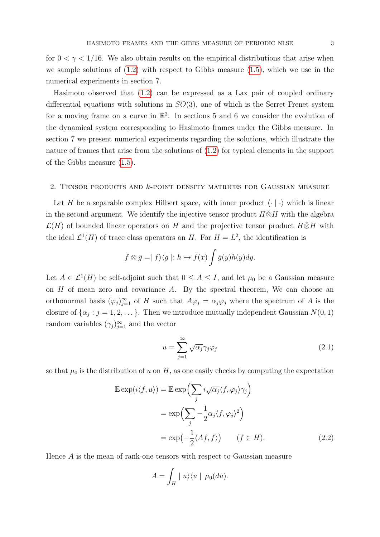for  $0 < \gamma < 1/16$ . We also obtain results on the empirical distributions that arise when we sample solutions of  $(1.2)$  with respect to Gibbs measure  $(1.5)$ , which we use in the numerical experiments in section 7.

Hasimoto observed that [\(1.2\)](#page-0-1) can be expressed as a Lax pair of coupled ordinary differential equations with solutions in  $SO(3)$ , one of which is the Serret-Frenet system for a moving frame on a curve in  $\mathbb{R}^3$ . In sections 5 and 6 we consider the evolution of the dynamical system corresponding to Hasimoto frames under the Gibbs measure. In section 7 we present numerical experiments regarding the solutions, which illustrate the nature of frames that arise from the solutions of [\(1.2\)](#page-0-1) for typical elements in the support of the Gibbs measure [\(1.5\)](#page-1-0).

### 2. Tensor products and k-point density matrices for Gaussian measure

Let H be a separable complex Hilbert space, with inner product  $\langle \cdot | \cdot \rangle$  which is linear in the second argument. We identify the injective tensor product  $H\ddot{\otimes}H$  with the algebra  $\mathcal{L}(H)$  of bounded linear operators on H and the projective tensor product  $H\hat{\otimes}H$  with the ideal  $\mathcal{L}^1(H)$  of trace class operators on H. For  $H = L^2$ , the identification is

$$
f \otimes \bar{g} = | f \rangle \langle g | : h \mapsto f(x) \int \bar{g}(y)h(y)dy.
$$

Let  $A \in \mathcal{L}^1(H)$  be self-adjoint such that  $0 \leq A \leq I$ , and let  $\mu_0$  be a Gaussian measure on  $H$  of mean zero and covariance  $A$ . By the spectral theorem, We can choose an orthonormal basis  $(\varphi_j)_{j=1}^{\infty}$  of H such that  $A\varphi_j = \alpha_j \varphi_j$  where the spectrum of A is the closure of  $\{\alpha_j : j = 1, 2, \dots\}$ . Then we introduce mutually independent Gaussian  $N(0, 1)$ random variables  $(\gamma_j)_{j=1}^{\infty}$  and the vector

<span id="page-2-0"></span>
$$
u = \sum_{j=1}^{\infty} \sqrt{\alpha_j} \gamma_j \varphi_j \tag{2.1}
$$

so that  $\mu_0$  is the distribution of u on H, as one easily checks by computing the expectation

$$
\mathbb{E} \exp(i\langle f, u \rangle) = \mathbb{E} \exp \Biggl( \sum_{j} i \sqrt{\alpha_{j}} \langle f, \varphi_{j} \rangle \gamma_{j} \Biggr)
$$
  
= 
$$
\exp \Biggl( \sum_{j} -\frac{1}{2} \alpha_{j} \langle f, \varphi_{j} \rangle^{2} \Biggr)
$$
  
= 
$$
\exp \Biggl( -\frac{1}{2} \langle A f, f \rangle \Biggr) \qquad (f \in H).
$$
 (2.2)

Hence A is the mean of rank-one tensors with respect to Gaussian measure

$$
A = \int_H |u\rangle\langle u | \mu_0(du).
$$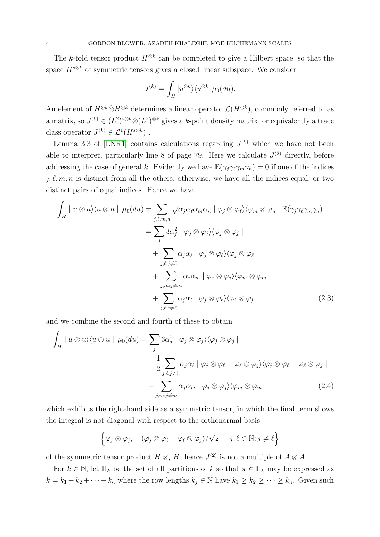The k-fold tensor product  $H^{\otimes k}$  can be completed to give a Hilbert space, so that the space  $H^{s\otimes k}$  of symmetric tensors gives a closed linear subspace. We consider

$$
J^{(k)} = \int_H |u^{\otimes k}\rangle \langle u^{\otimes k} | \mu_0(du).
$$

An element of  $H^{\otimes k} \hat{\otimes} H^{\otimes k}$  determines a linear operator  $\mathcal{L}(H^{\otimes k})$ , commonly referred to as a matrix, so  $J^{(k)} \in (L^2)^{s \otimes k} \hat{\otimes} (L^2)^{\otimes k}$  gives a k-point density matrix, or equivalently a trace class operator  $J^{(k)} \in \mathcal{L}^1(H^{s \otimes k})$ .

Lemma 3.3 of [\[LNR1\]](#page-34-3) contains calculations regarding  $J^{(k)}$  which we have not been able to interpret, particularly line 8 of page 79. Here we calculate  $J^{(2)}$  directly, before addressing the case of general k. Evidently we have  $\mathbb{E}(\gamma_i\gamma_\ell\gamma_m\gamma_n) = 0$  if one of the indices  $j, \ell, m, n$  is distinct from all the others; otherwise, we have all the indices equal, or two distinct pairs of equal indices. Hence we have

$$
\int_{H} | u \otimes u \rangle \langle u \otimes u | \mu_{0}(du) = \sum_{j,\ell,m,n} \sqrt{\alpha_{j} \alpha_{\ell} \alpha_{m} \alpha_{n}} | \varphi_{j} \otimes \varphi_{\ell} \rangle \langle \varphi_{m} \otimes \varphi_{n} | \mathbb{E}(\gamma_{j} \gamma_{\ell} \gamma_{m} \gamma_{n})
$$
\n
$$
= \sum_{j} 3\alpha_{j}^{2} | \varphi_{j} \otimes \varphi_{j} \rangle \langle \varphi_{j} \otimes \varphi_{j} |
$$
\n
$$
+ \sum_{j,\ell:j \neq \ell} \alpha_{j} \alpha_{\ell} | \varphi_{j} \otimes \varphi_{\ell} \rangle \langle \varphi_{j} \otimes \varphi_{\ell} |
$$
\n
$$
+ \sum_{j,m:j \neq m} \alpha_{j} \alpha_{m} | \varphi_{j} \otimes \varphi_{j} \rangle \langle \varphi_{m} \otimes \varphi_{m} |
$$
\n
$$
+ \sum_{j,\ell:j \neq \ell} \alpha_{j} \alpha_{\ell} | \varphi_{j} \otimes \varphi_{\ell} \rangle \langle \varphi_{\ell} \otimes \varphi_{j} |
$$
\n(2.3)

and we combine the second and fourth of these to obtain

$$
\int_{H} | u \otimes u \rangle \langle u \otimes u | \mu_{0}(du) = \sum_{j} 3\alpha_{j}^{2} | \varphi_{j} \otimes \varphi_{j} \rangle \langle \varphi_{j} \otimes \varphi_{j} | \n+ \frac{1}{2} \sum_{j,\ell:j \neq \ell} \alpha_{j} \alpha_{\ell} | \varphi_{j} \otimes \varphi_{\ell} + \varphi_{\ell} \otimes \varphi_{j} \rangle \langle \varphi_{j} \otimes \varphi_{\ell} + \varphi_{\ell} \otimes \varphi_{j} | \n+ \sum_{j,m:j \neq m} \alpha_{j} \alpha_{m} | \varphi_{j} \otimes \varphi_{j} \rangle \langle \varphi_{m} \otimes \varphi_{m} |
$$
\n(2.4)

which exhibits the right-hand side as a symmetric tensor, in which the final term shows the integral is not diagonal with respect to the orthonormal basis

$$
\left\{ \varphi_j \otimes \varphi_j, \quad (\varphi_j \otimes \varphi_\ell + \varphi_\ell \otimes \varphi_j) / \sqrt{2}; \quad j, \ell \in \mathbb{N}; j \neq \ell \right\}
$$

of the symmetric tensor product  $H \otimes_s H$ , hence  $J^{(2)}$  is not a multiple of  $A \otimes A$ .

For  $k \in \mathbb{N}$ , let  $\Pi_k$  be the set of all partitions of k so that  $\pi \in \Pi_k$  may be expressed as  $k = k_1 + k_2 + \cdots + k_n$  where the row lengths  $k_j \in \mathbb{N}$  have  $k_1 \geq k_2 \geq \cdots \geq k_n$ . Given such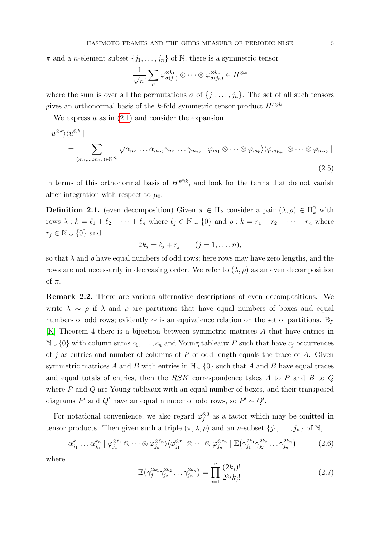$\pi$  and a *n*-element subset  $\{j_1, \ldots, j_n\}$  of N, there is a symmetric tensor

$$
\frac{1}{\sqrt{n!}} \sum_{\sigma} \varphi_{\sigma(j_1)}^{\otimes k_1} \otimes \cdots \otimes \varphi_{\sigma(j_n)}^{\otimes k_n} \in H^{\otimes k}
$$

where the sum is over all the permutations  $\sigma$  of  $\{j_1, \ldots, j_n\}$ . The set of all such tensors gives an orthonormal basis of the k-fold symmetric tensor product  $H^{s\otimes k}$ .

We express  $u$  as in  $(2.1)$  and consider the expansion

$$
| u^{\otimes k} \rangle \langle u^{\otimes k} |
$$
  
= 
$$
\sum_{(m_1, \dots, m_{2k}) \in \mathbb{N}^{2k}} \sqrt{\alpha_{m_1} \dots \alpha_{m_{2k}}} \gamma_{m_1} \dots \gamma_{m_{2k}} | \varphi_{m_1} \otimes \dots \otimes \varphi_{m_k} \rangle \langle \varphi_{m_{k+1}} \otimes \dots \otimes \varphi_{m_{2k}} |
$$
  
(2.5)

in terms of this orthonormal basis of  $H^{s\otimes k}$ , and look for the terms that do not vanish after integration with respect to  $\mu_0$ .

**Definition 2.1.** (even decomposition) Given  $\pi \in \Pi_k$  consider a pair  $(\lambda, \rho) \in \Pi_k^2$  with rows  $\lambda : k = \ell_1 + \ell_2 + \cdots + \ell_n$  where  $\ell_j \in \mathbb{N} \cup \{0\}$  and  $\rho : k = r_1 + r_2 + \cdots + r_n$  where  $r_i \in \mathbb{N} \cup \{0\}$  and

$$
2k_j = \ell_j + r_j \qquad (j = 1, \ldots, n),
$$

so that  $\lambda$  and  $\rho$  have equal numbers of odd rows; here rows may have zero lengths, and the rows are not necessarily in decreasing order. We refer to  $(\lambda, \rho)$  as an even decomposition of  $\pi$ .

Remark 2.2. There are various alternative descriptions of even decompositions. We write  $\lambda \sim \rho$  if  $\lambda$  and  $\rho$  are partitions that have equal numbers of boxes and equal numbers of odd rows; evidently ∼ is an equivalence relation on the set of partitions. By [\[K\]](#page-34-4) Theorem 4 there is a bijection between symmetric matrices A that have entries in  $\mathbb{N}\cup\{0\}$  with column sums  $c_1, \ldots, c_n$  and Young tableaux P such that have  $c_j$  occurrences of j as entries and number of columns of  $P$  of odd length equals the trace of  $A$ . Given symmetric matrices A and B with entries in  $\mathbb{N}\cup\{0\}$  such that A and B have equal traces and equal totals of entries, then the RSK correspondence takes A to P and B to Q where P and Q are Young tableaux with an equal number of boxes, and their transposed diagrams P' and Q' have an equal number of odd rows, so  $P' \sim Q'$ .

For notational convenience, we also regard  $\varphi_i^{\otimes 0}$  $_j^{\otimes 0}$  as a factor which may be omitted in tensor products. Then given such a triple  $(\pi, \lambda, \rho)$  and an n-subset  $\{j_1, \ldots, j_n\}$  of N,

<span id="page-4-0"></span>
$$
\alpha_{j_1}^{k_1} \dots \alpha_{j_n}^{k_n} \mid \varphi_{j_1}^{\otimes \ell_1} \otimes \dots \otimes \varphi_{j_n}^{\otimes \ell_n} \rangle \langle \varphi_{j_1}^{\otimes r_1} \otimes \dots \otimes \varphi_{j_n}^{\otimes r_n} \mid \mathbb{E}(\gamma_{j_1}^{2k_1} \gamma_{j_2}^{2k_2} \dots \gamma_{j_n}^{2k_n}) \tag{2.6}
$$

where

<span id="page-4-1"></span>
$$
\mathbb{E}\left(\gamma_{j_1}^{2k_1}\gamma_{j_2}^{2k_2}\dots\gamma_{j_n}^{2k_n}\right) = \prod_{j=1}^n \frac{(2k_j)!}{2^{k_j}k_j!}
$$
\n(2.7)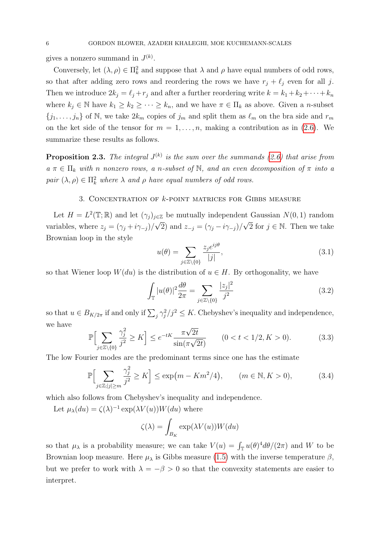gives a nonzero summand in  $J^{(k)}$ .

Conversely, let  $(\lambda, \rho) \in \Pi_k^2$  and suppose that  $\lambda$  and  $\rho$  have equal numbers of odd rows, so that after adding zero rows and reordering the rows we have  $r_j + \ell_j$  even for all j. Then we introduce  $2k_j = \ell_j + r_j$  and after a further reordering write  $k = k_1 + k_2 + \cdots + k_n$ where  $k_j \in \mathbb{N}$  have  $k_1 \geq k_2 \geq \cdots \geq k_n$ , and we have  $\pi \in \Pi_k$  as above. Given a *n*-subset  $\{j_1, \ldots, j_n\}$  of N, we take  $2k_m$  copies of  $j_m$  and split them as  $\ell_m$  on the bra side and  $r_m$ on the ket side of the tensor for  $m = 1, \ldots, n$ , making a contribution as in [\(2.6\)](#page-4-0). We summarize these results as follows.

**Proposition 2.3.** The integral  $J^{(k)}$  is the sum over the summands [\(2.6\)](#page-4-0) that arise from  $a \pi \in \Pi_k$  with n nonzero rows, a n-subset of N, and an even decomposition of  $\pi$  into a pair  $(\lambda, \rho) \in \Pi_k^2$  where  $\lambda$  and  $\rho$  have equal numbers of odd rows.

# 3. Concentration of k-point matrices for Gibbs measure

Let  $H = L^2(\mathbb{T}; \mathbb{R})$  and let  $(\gamma_j)_{j \in \mathbb{Z}}$  be mutually independent Gaussian  $N(0, 1)$  random variables, where  $z_j = (\gamma_j + i\gamma_{-j})/$ √ 2) and  $z_{-j} = (\gamma_j - i\gamma_{-j})/j$  $\sqrt{2}$  for  $j \in \mathbb{N}$ . Then we take Brownian loop in the style

$$
u(\theta) = \sum_{j \in \mathbb{Z} \setminus \{0\}} \frac{z_j e^{ij\theta}}{|j|},\tag{3.1}
$$

so that Wiener loop  $W(du)$  is the distribution of  $u \in H$ . By orthogonality, we have

$$
\int_{\mathbb{T}} |u(\theta)|^2 \frac{d\theta}{2\pi} = \sum_{j \in \mathbb{Z} \setminus \{0\}} \frac{|z_j|^2}{j^2}
$$
\n(3.2)

so that  $u \in B_{K/2\pi}$  if and only if  $\sum_j \gamma_j^2/j^2 \leq K$ . Chebyshev's inequality and independence, we have √

<span id="page-5-0"></span>
$$
\mathbb{P}\Big[\sum_{j\in\mathbb{Z}\setminus\{0\}}\frac{\gamma_j^2}{j^2} \ge K\Big] \le e^{-tK}\frac{\pi\sqrt{2t}}{\sin(\pi\sqrt{2t})} \qquad (0 < t < 1/2, K > 0). \tag{3.3}
$$

The low Fourier modes are the predominant terms since one has the estimate

$$
\mathbb{P}\Big[\sum_{j\in\mathbb{Z};|j|\geq m}\frac{\gamma_j^2}{j^2}\geq K\Big]\leq \exp\big(m-Km^2/4\big), \qquad (m\in\mathbb{N},K>0),\tag{3.4}
$$

which also follows from Chebyshev's inequality and independence.

Let  $\mu_{\lambda}(du) = \zeta(\lambda)^{-1} \exp(\lambda V(u)) W(du)$  where

$$
\zeta(\lambda) = \int_{B_K} \exp(\lambda V(u)) W(du)
$$

so that  $\mu_{\lambda}$  is a probability measure; we can take  $V(u) = \int_{\mathbb{T}} u(\theta)^4 d\theta/(2\pi)$  and W to be Brownian loop measure. Here  $\mu_{\lambda}$  is Gibbs measure [\(1.5\)](#page-1-0) with the inverse temperature  $\beta$ , but we prefer to work with  $\lambda = -\beta > 0$  so that the convexity statements are easier to interpret.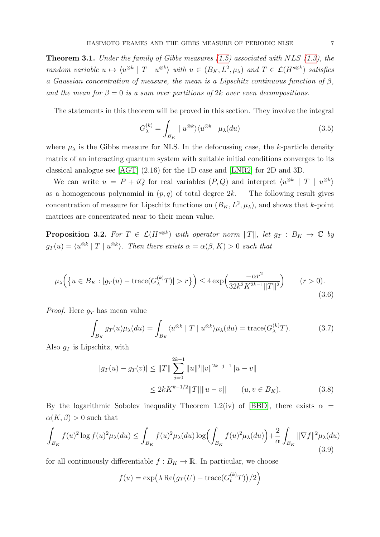**Theorem 3.1.** Under the family of Gibbs measures  $(1.5)$  associated with NLS  $(1.3)$ , the random variable  $u \mapsto \langle u^{\otimes k} | T | u^{\otimes k} \rangle$  with  $u \in (B_K, L^2, \mu_\lambda)$  and  $T \in \mathcal{L}(H^{s \otimes k})$  satisfies a Gaussian concentration of measure, the mean is a Lipschitz continuous function of  $\beta$ , and the mean for  $\beta = 0$  is a sum over partitions of 2k over even decompositions.

The statements in this theorem will be proved in this section. They involve the integral

<span id="page-6-1"></span>
$$
G_{\lambda}^{(k)} = \int_{B_K} |u^{\otimes k}\rangle \langle u^{\otimes k} | \mu_{\lambda}(du) \tag{3.5}
$$

where  $\mu_{\lambda}$  is the Gibbs measure for NLS. In the defocussing case, the k-particle density matrix of an interacting quantum system with suitable initial conditions converges to its classical analogue see [\[AGT\]](#page-33-0) (2.16) for the 1D case and [\[LNR2\]](#page-34-5) for 2D and 3D.

We can write  $u = P + iQ$  for real variables  $(P,Q)$  and interpret  $\langle u^{\otimes k} | T | u^{\otimes k} \rangle$ as a homogeneous polynomial in  $(p, q)$  of total degree  $2k$ . The following result gives concentration of measure for Lipschitz functions on  $(B_K, L^2, \mu_\lambda)$ , and shows that k-point matrices are concentrated near to their mean value.

**Proposition 3.2.** For  $T \in \mathcal{L}(H^{s \otimes k})$  with operator norm  $||T||$ , let  $g_T : B_K \to \mathbb{C}$  by  $g_T(u) = \langle u^{\otimes k} | T | u^{\otimes k} \rangle$ . Then there exists  $\alpha = \alpha(\beta, K) > 0$  such that

$$
\mu_{\lambda}\Big(\big\{u \in B_K : |g_T(u) - \text{trace}(G_{\lambda}^{(k)}T)| > r\big\}\Big) \le 4 \exp\Big(\frac{-\alpha r^2}{32k^2 K^{2k-1} ||T||^2}\Big) \qquad (r > 0).
$$
\n(3.6)

*Proof.* Here  $q_T$  has mean value

<span id="page-6-0"></span>
$$
\int_{B_K} g_T(u)\mu_\lambda(du) = \int_{B_K} \langle u^{\otimes k} | T | u^{\otimes k} \rangle \mu_\lambda(du) = \text{trace}(G_\lambda^{(k)}T). \tag{3.7}
$$

Also  $q_T$  is Lipschitz, with

$$
|g_T(u) - g_T(v)| \le ||T|| \sum_{j=0}^{2k-1} ||u||^j ||v||^{2k-j-1} ||u - v||
$$
  

$$
\le 2kK^{k-1/2} ||T|| ||u - v|| \qquad (u, v \in B_K).
$$
 (3.8)

By the logarithmic Sobolev inequality Theorem 1.2(iv) of [\[BBD\]](#page-34-2), there exists  $\alpha =$  $\alpha(K,\beta) > 0$  such that

<span id="page-6-2"></span>
$$
\int_{B_K} f(u)^2 \log f(u)^2 \mu_\lambda(du) \le \int_{B_K} f(u)^2 \mu_\lambda(du) \log \left( \int_{B_K} f(u)^2 \mu_\lambda(du) \right) + \frac{2}{\alpha} \int_{B_K} ||\nabla f||^2 \mu_\lambda(du)
$$
\n(3.9)

for all continuously differentiable  $f : B_K \to \mathbb{R}$ . In particular, we choose

$$
f(u) = \exp\left(\lambda \operatorname{Re}(g_T(U) - \operatorname{trace}(G_t^{(k)}T))/2\right)
$$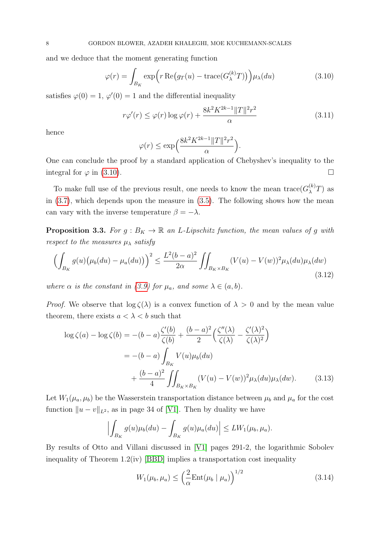and we deduce that the moment generating function

<span id="page-7-0"></span>
$$
\varphi(r) = \int_{B_K} \exp\Big(r \operatorname{Re}(g_T(u) - \operatorname{trace}(G_\lambda^{(k)} T))\Big) \mu_\lambda(du) \tag{3.10}
$$

satisfies  $\varphi(0) = 1$ ,  $\varphi'(0) = 1$  and the differential inequality

$$
r\varphi'(r) \le \varphi(r)\log\varphi(r) + \frac{8k^2K^{2k-1}||T||^2r^2}{\alpha} \tag{3.11}
$$

hence

$$
\varphi(r) \le \exp\left(\frac{8k^2 K^{2k-1} ||T||^2 r^2}{\alpha}\right).
$$

One can conclude the proof by a standard application of Chebyshev's inequality to the integral for  $\varphi$  in [\(3.10\)](#page-7-0).

To make full use of the previous result, one needs to know the mean  $trace(G_{\lambda}^{(k)}T)$  as in [\(3.7\)](#page-6-0), which depends upon the measure in [\(3.5\)](#page-6-1). The following shows how the mean can vary with the inverse temperature  $\beta = -\lambda$ .

**Proposition 3.3.** For  $g : B_K \to \mathbb{R}$  an L-Lipschitz function, the mean values of g with respect to the measures  $\mu_{\lambda}$  satisfy

$$
\left(\int_{B_K} g(u)\left(\mu_b(du) - \mu_a(du)\right)\right)^2 \le \frac{L^2(b-a)^2}{2\alpha} \iint_{B_K \times B_K} (V(u) - V(w))^2 \mu_\lambda(du)\mu_\lambda(dw) \tag{3.12}
$$

where  $\alpha$  is the constant in [\(3.9\)](#page-6-2) for  $\mu_a$ , and some  $\lambda \in (a, b)$ .

*Proof.* We observe that  $\log \zeta(\lambda)$  is a convex function of  $\lambda > 0$  and by the mean value theorem, there exists  $a < \lambda < b$  such that

$$
\log \zeta(a) - \log \zeta(b) = -(b-a)\frac{\zeta'(b)}{\zeta(b)} + \frac{(b-a)^2}{2}\left(\frac{\zeta''(\lambda)}{\zeta(\lambda)} - \frac{\zeta'(\lambda)^2}{\zeta(\lambda)^2}\right)
$$

$$
= -(b-a)\int_{B_K} V(u)\mu_b(du)
$$

$$
+ \frac{(b-a)^2}{4}\iint_{B_K \times B_K} (V(u) - V(w))^2 \mu_\lambda(du)\mu_\lambda(dw). \tag{3.13}
$$

Let  $W_1(\mu_a, \mu_b)$  be the Wasserstein transportation distance between  $\mu_b$  and  $\mu_a$  for the cost function  $||u - v||_{L^2}$ , as in page 34 of [\[V1\]](#page-35-1). Then by duality we have

$$
\left| \int_{B_K} g(u) \mu_b(du) - \int_{B_K} g(u) \mu_a(du) \right| \leq L W_1(\mu_b, \mu_a).
$$

By results of Otto and Villani discussed in [\[V1\]](#page-35-1) pages 291-2, the logarithmic Sobolev inequality of Theorem 1.2(iv) [\[BBD\]](#page-34-2) implies a transportation cost inequality

<span id="page-7-1"></span>
$$
W_1(\mu_b, \mu_a) \le \left(\frac{2}{\alpha} \text{Ent}(\mu_b \mid \mu_a)\right)^{1/2} \tag{3.14}
$$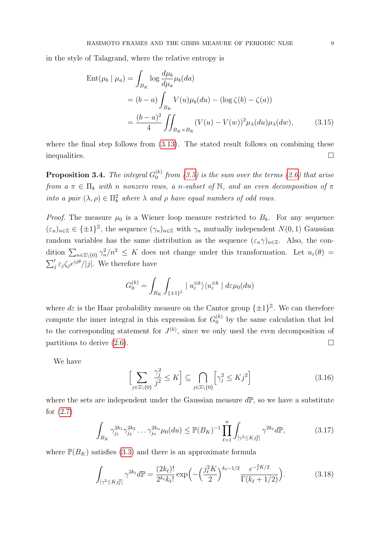in the style of Talagrand, where the relative entropy is

$$
\begin{split} \text{Ent}(\mu_b \mid \mu_a) &= \int_{B_K} \log \frac{d\mu_b}{d\mu_a} \mu_b(da) \\ &= (b-a) \int_{B_K} V(u) \mu_b(du) - (\log \zeta(b) - \zeta(a)) \\ &= \frac{(b-a)^2}{4} \iint_{B_K \times B_K} (V(u) - V(w))^2 \mu_\lambda(du) \mu_\lambda(dw), \end{split} \tag{3.15}
$$

where the final step follows from  $(3.13)$ . The stated result follows on combining these inequalities.  $\Box$ 

**Proposition 3.4.** The integral  $G_0^{(k)}$  $\binom{16}{0}$  from [\(3.5\)](#page-6-1) is the sum over the terms [\(2.6\)](#page-4-0) that arise from  $a \pi \in \Pi_k$  with n nonzero rows, a n-subset of N, and an even decomposition of  $\pi$ into a pair  $(\lambda, \rho) \in \Pi_k^2$  where  $\lambda$  and  $\rho$  have equal numbers of odd rows.

*Proof.* The measure  $\mu_0$  is a Wiener loop measure restricted to  $B_k$ . For any sequence  $(\varepsilon_n)_{n \in \mathbb{Z}} \in {\{\pm 1\}}^{\mathbb{Z}}$ , the sequence  $(\gamma_n)_{n \in \mathbb{Z}}$  with  $\gamma_n$  mutually independent  $N(0, 1)$  Gaussian random variables has the same distribution as the sequence  $(\varepsilon_n \gamma)_{n \in \mathbb{Z}}$ . Also, the condition  $\sum_{n\in\mathbb{Z}\setminus\{0\}}\gamma_n^2/n^2 \leq K$  does not change under this transformation. Let  $u_{\varepsilon}(\theta) =$  $\sum_{j}' \varepsilon_{j} \zeta_{j} e^{ij\theta}/|j|$ . We therefore have

$$
G_0^{(k)} = \int_{B_K} \int_{\{\pm 1\}^\mathbb{Z}} |u_{\varepsilon}^{\otimes k} \rangle \langle u_{\varepsilon}^{\otimes k} | d\varepsilon \mu_0(du)
$$

where  $d\varepsilon$  is the Haar probability measure on the Cantor group  $\{\pm 1\}^{\mathbb{Z}}$ . We can therefore compute the inner integral in this expression for  $G_0^{(k)}$  by the same calculation that led to the corresponding statement for  $J^{(k)}$ , since we only used the even decomposition of partitions to derive  $(2.6)$ .

We have

$$
\left[\sum_{j\in\mathbb{Z}\setminus\{0\}}\frac{\gamma_j^2}{j^2} \le K\right] \subseteq \bigcap_{j\in\mathbb{Z}\setminus\{0\}}\left[\gamma_j^2 \le Kj^2\right] \tag{3.16}
$$

where the sets are independent under the Gaussian measure  $d\mathbb{P}$ , so we have a substitute for [\(2.7\)](#page-4-1)

$$
\int_{B_K} \gamma_{j_1}^{2k_1} \gamma_{j_2}^{2k_2} \dots \gamma_{j_n}^{2k_n} \mu_0(du) \leq \mathbb{P}(B_K)^{-1} \prod_{\ell=1}^n \int_{\left[\gamma^2 \leq K j_\ell^2\right]} \gamma^{2k_\ell} d\mathbb{P},\tag{3.17}
$$

where  $\mathbb{P}(B_K)$  satisfies [\(3.3\)](#page-5-0) and there is an approximate formula

$$
\int_{\left[\gamma^2 \le K j_\ell^2\right]} \gamma^{2k_\ell} d\mathbb{P} = \frac{(2k_\ell)!}{2^{k_\ell} k_\ell!} \exp\left(-\left(\frac{j_\ell^2 K}{2}\right)^{k_\ell - 1/2} \frac{e^{-\frac{2}{\ell}K/2}}{\Gamma(k_\ell + 1/2)}\right). \tag{3.18}
$$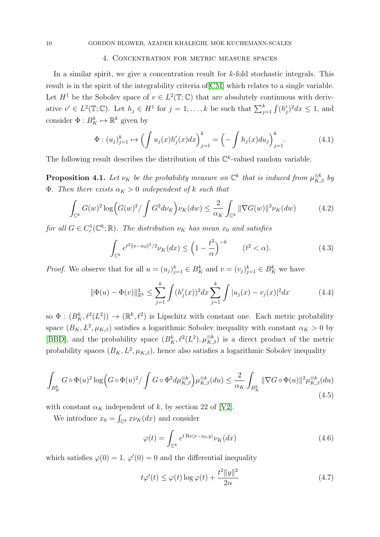## 4. Concentration for metric measure spaces

In a similar spirit, we give a concentration result for k-fold stochastic integrals. This result is in the spirit of the integrability criteria of[\[CM\]](#page-34-6) which relates to a single variable. Let  $H^1$  be the Sobolev space of  $v \in L^2(\mathbb{T}; \mathbb{C})$  that are absolutely continuous with derivative  $v' \in L^2(\mathbb{T}; \mathbb{C})$ . Let  $h_j \in H^1$  for  $j = 1, ..., k$  be such that  $\sum_{j=1}^k \int (h'_j)^2 dx \leq 1$ , and consider  $\Phi: B_K^k \mapsto \mathbb{R}^k$  given by

$$
\Phi: (u_j)_{j=1}^k \mapsto \left(\int u_j(x)h'_j(x)dx\right)_{j=1}^k = \left(-\int h_j(x)du_j\right)_{j=1}^k. \tag{4.1}
$$

The following result describes the distribution of this  $\mathbb{C}^k$ -valued random variable.

**Proposition 4.1.** Let  $\nu_K$  be the probability measure on  $\mathbb{C}^k$  that is induced from  $\mu_{K,\beta}^{\otimes k}$  by **Φ**. Then there exists  $\alpha_K > 0$  independent of k such that

<span id="page-9-0"></span>
$$
\int_{\mathbb{C}^k} G(w)^2 \log \left( G(w)^2 / \int G^2 d\nu_K \right) \nu_K(dw) \le \frac{2}{\alpha_K} \int_{\mathbb{C}^k} ||\nabla G(w)||^2 \nu_K(dw) \tag{4.2}
$$

for all  $G \in C_c^1(\mathbb{C}^k;\mathbb{R})$ . The distribution  $\nu_K$  has mean  $x_0$  and satisfies

$$
\int_{\mathbb{C}^k} e^{t^2 \|x - x_0\|^2 / 2} \nu_K(dx) \le \left(1 - \frac{t^2}{\alpha}\right)^{-k} \qquad (t^2 < \alpha). \tag{4.3}
$$

*Proof.* We observe that for all  $u = (u_j)_{j=1}^k \in B_K^k$  and  $v = (v_j)_{j=1}^k \in B_K^k$  we have

$$
\|\Phi(u) - \Phi(v)\|_{\mathbb{R}^k}^2 \le \sum_{j=1}^k \int (h'_j(x))^2 dx \sum_{j=1}^k \int |u_j(x) - v_j(x)|^2 dx \tag{4.4}
$$

so  $\Phi: (B_K^k, \ell^2(L^2)) \to (\mathbb{R}^k, \ell^2)$  is Lipschitz with constant one. Each metric probability space  $(B_K, L^2, \mu_{K,\beta})$  satisfies a logarithmic Sobolev inequality with constant  $\alpha_K > 0$  by [\[BBD\]](#page-34-2), and the probability space  $(B_K^k, \ell^2(L^2), \mu_{K,\beta}^{\otimes k})$  is a direct product of the metric probability spaces  $(B_K, L^2, \mu_{K,\beta})$ , hence also satisfies a logarithmic Sobolev inequality

$$
\int_{B_K^k} G \circ \Phi(u)^2 \log \left( G \circ \Phi(u)^2 / \int G \circ \Phi^2 d\mu_{K,\beta}^{\otimes k} \right) \mu_{K,\beta}^{\otimes k}(du) \leq \frac{2}{\alpha_K} \int_{B_K^k} \|\nabla G \circ \Phi(u)\|^2 \mu_{K,\beta}^{\otimes k}(du)
$$
\n(4.5)

with constant  $\alpha_K$  independent of k, by section 22 of [\[V2\]](#page-35-2).

We introduce  $x_0 = \int_{\mathbb{C}^k} x \nu_K(dx)$  and consider

$$
\varphi(t) = \int_{\mathbb{C}^k} e^{t \operatorname{Re}\langle x - x_0, y \rangle} \nu_K(dx) \tag{4.6}
$$

which satisfies  $\varphi(0) = 1$ ,  $\varphi'(0) = 0$  and the differential inequality

$$
t\varphi'(t) \le \varphi(t) \log \varphi(t) + \frac{t^2 \|y\|^2}{2\alpha} \tag{4.7}
$$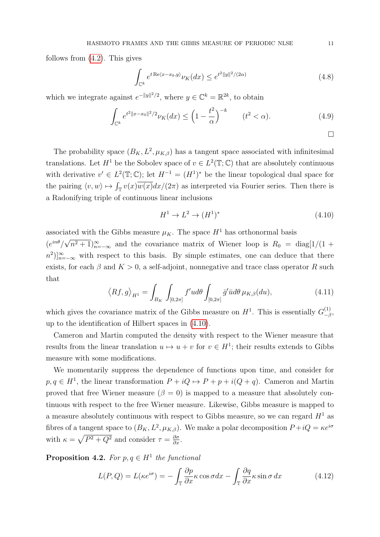follows from [\(4.2\)](#page-9-0). This gives

$$
\int_{\mathbb{C}^k} e^{t \operatorname{Re}\langle x - x_0, y \rangle} \nu_K(dx) \le e^{t^2 ||y||^2 / (2\alpha)} \tag{4.8}
$$

which we integrate against  $e^{-\|y\|^2/2}$ , where  $y \in \mathbb{C}^k = \mathbb{R}^{2k}$ , to obtain

$$
\int_{\mathbb{C}^k} e^{t^2 \|x - x_0\|^2 / 2} \nu_K(dx) \le \left(1 - \frac{t^2}{\alpha}\right)^{-k} \qquad (t^2 < \alpha). \tag{4.9}
$$

$$
\Box
$$

The probability space  $(B_K, L^2, \mu_{K,\beta})$  has a tangent space associated with infinitesimal translations. Let  $H^1$  be the Sobolev space of  $v \in L^2(\mathbb{T}; \mathbb{C})$  that are absolutely continuous with derivative  $v' \in L^2(\mathbb{T}; \mathbb{C})$ ; let  $H^{-1} = (H^1)^*$  be the linear topological dual space for the pairing  $\langle v, w \rangle \mapsto \int_{\mathbb{T}} v(x) \overline{w(x)} dx/(2\pi)$  as interpreted via Fourier series. Then there is a Radonifying triple of continuous linear inclusions

<span id="page-10-0"></span>
$$
H^1 \to L^2 \to (H^1)^* \tag{4.10}
$$

associated with the Gibbs measure  $\mu_K$ . The space  $H^1$  has orthonormal basis  $(e^{in\theta}/$ √  $(n^2+1)_{n=-\infty}^{\infty}$  and the covariance matrix of Wiener loop is  $R_0 = \text{diag}[1/(1 +$  $[n^2]_{n=-\infty}^{\infty}$  with respect to this basis. By simple estimates, one can deduce that there exists, for each  $\beta$  and  $K > 0$ , a self-adjoint, nonnegative and trace class operator R such that

$$
\left\langle Rf,g\right\rangle_{H^1} = \int_{B_K} \int_{[0,2\pi]} f'ud\theta \int_{[0,2\pi]} \bar{g}'\bar{u}d\theta \,\mu_{K,\beta}(du),\tag{4.11}
$$

which gives the covariance matrix of the Gibbs measure on  $H^1$ . This is essentially  $G_{-\ell}^{(1)}$  $\stackrel{(1)}{-\beta},$ up to the identification of Hilbert spaces in [\(4.10\)](#page-10-0).

Cameron and Martin computed the density with respect to the Wiener measure that results from the linear translation  $u \mapsto u + v$  for  $v \in H^1$ ; their results extends to Gibbs measure with some modifications.

We momentarily suppress the dependence of functions upon time, and consider for  $p, q \in H<sup>1</sup>$ , the linear transformation  $P + iQ \mapsto P + p + i(Q + q)$ . Cameron and Martin proved that free Wiener measure ( $\beta = 0$ ) is mapped to a measure that absolutely continuous with respect to the free Wiener measure. Likewise, Gibbs measure is mapped to a measure absolutely continuous with respect to Gibbs measure, so we can regard  $H<sup>1</sup>$  as fibres of a tangent space to  $(B_K, L^2, \mu_{K,\beta})$ . We make a polar decomposition  $P + iQ = \kappa e^{i\sigma}$ with  $\kappa = \sqrt{P^2 + Q^2}$  and consider  $\tau = \frac{\partial \sigma}{\partial x}$ .

**Proposition 4.2.** For  $p, q \in H^1$  the functional

$$
L(P,Q) = L(\kappa e^{i\sigma}) = -\int_{\mathbb{T}} \frac{\partial p}{\partial x} \kappa \cos \sigma dx - \int_{\mathbb{T}} \frac{\partial q}{\partial x} \kappa \sin \sigma dx \tag{4.12}
$$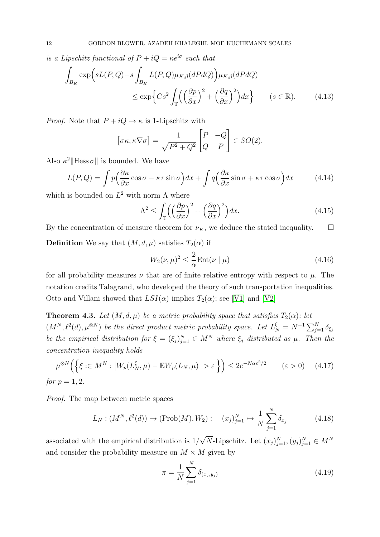is a Lipschitz functional of  $P + iQ = \kappa e^{i\sigma}$  such that

$$
\int_{B_K} \exp\left(sL(P,Q) - s \int_{B_K} L(P,Q)\mu_{K,\beta}(dPdQ)\right) \mu_{K,\beta}(dPdQ)
$$
\n
$$
\leq \exp\left\{Cs^2 \int_{\mathbb{T}} \left(\left(\frac{\partial p}{\partial x}\right)^2 + \left(\frac{\partial q}{\partial x}\right)^2\right) dx\right\} \qquad (s \in \mathbb{R}).\tag{4.13}
$$

*Proof.* Note that  $P + iQ \mapsto \kappa$  is 1-Lipschitz with

$$
[\sigma \kappa, \kappa \nabla \sigma] = \frac{1}{\sqrt{P^2 + Q^2}} \begin{bmatrix} P & -Q \\ Q & P \end{bmatrix} \in SO(2).
$$

Also  $\kappa^2$ ||Hess  $\sigma$ || is bounded. We have

$$
L(P,Q) = \int p \left( \frac{\partial \kappa}{\partial x} \cos \sigma - \kappa \tau \sin \sigma \right) dx + \int q \left( \frac{\partial \kappa}{\partial x} \sin \sigma + \kappa \tau \cos \sigma \right) dx \tag{4.14}
$$

which is bounded on  $L^2$  with norm  $\Lambda$  where

$$
\Lambda^2 \le \int_{\mathbb{T}} \left( \left( \frac{\partial p}{\partial x} \right)^2 + \left( \frac{\partial q}{\partial x} \right)^2 \right) dx. \tag{4.15}
$$

By the concentration of measure theorem for  $\nu_K$ , we deduce the stated inequality.  $\square$ 

**Definition** We say that  $(M, d, \mu)$  satisfies  $T_2(\alpha)$  if

$$
W_2(\nu,\mu)^2 \le \frac{2}{\alpha} \text{Ent}(\nu \mid \mu) \tag{4.16}
$$

for all probability measures  $\nu$  that are of finite relative entropy with respect to  $\mu$ . The notation credits Talagrand, who developed the theory of such transportation inequalities. Otto and Villani showed that  $LSI(\alpha)$  implies  $T_2(\alpha)$ ; see [\[V1\]](#page-35-1) and [\[V2\]](#page-35-2)

<span id="page-11-0"></span>**Theorem 4.3.** Let  $(M, d, \mu)$  be a metric probability space that satisfies  $T_2(\alpha)$ ; let  $(M^N, \ell^2(d), \mu^{\otimes N})$  be the direct product metric probability space. Let  $L_N^{\xi} = N^{-1} \sum_{j=1}^N \delta_{\xi_j}$ be the empirical distribution for  $\xi = (\xi_j)_{j=1}^N \in M^N$  where  $\xi_j$  distributed as  $\mu$ . Then the concentration inequality holds

$$
\mu^{\otimes N}\Big(\Big\{\xi: \in M^N : \big|W_p(L_N^{\xi}, \mu) - \mathbb{E}W_p(L_N, \mu)\big| > \varepsilon\Big\}\Big) \le 2e^{-N\alpha\varepsilon^2/2} \qquad (\varepsilon > 0) \tag{4.17}
$$
  
for  $p = 1, 2$ .

Proof. The map between metric spaces

$$
L_N: (M^N, \ell^2(d)) \to (\text{Prob}(M), W_2): \quad (x_j)_{j=1}^N \mapsto \frac{1}{N} \sum_{j=1}^N \delta_{x_j}
$$
 (4.18)

associated with the empirical distribution is 1/ √  $\overline{N}$ -Lipschitz. Let  $(x_j)_{j=1}^N$ ,  $(y_j)_{j=1}^N \in M^N$ and consider the probability measure on  $M \times M$  given by

$$
\pi = \frac{1}{N} \sum_{j=1}^{N} \delta_{(x_j, y_j)}
$$
\n(4.19)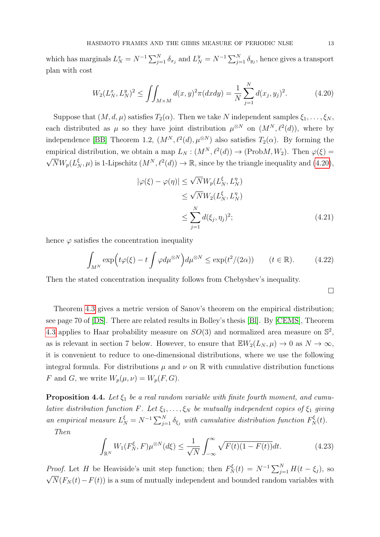which has marginals  $L_N^x = N^{-1} \sum_{j=1}^N \delta_{x_j}$  and  $L_N^y = N^{-1} \sum_{j=1}^N \delta_{y_j}$ , hence gives a transport plan with cost

<span id="page-12-0"></span>
$$
W_2(L_N^x, L_N^y)^2 \le \iint_{M \times M} d(x, y)^2 \pi (dxdy) = \frac{1}{N} \sum_{j=1}^N d(x_j, y_j)^2.
$$
 (4.20)

Suppose that  $(M, d, \mu)$  satisfies  $T_2(\alpha)$ . Then we take N independent samples  $\xi_1, \ldots, \xi_N$ , each distributed as  $\mu$  so they have joint distribution  $\mu^{\otimes N}$  on  $(M^N, \ell^2(d))$ , where by independence [\[BB\]](#page-33-1) Theorem 1.2,  $(M^N, \ell^2(d), \mu^{\otimes N})$  also satisfies  $T_2(\alpha)$ . By forming the empirical distribution, we obtain a map  $L_N : (M^N, \ell^2(d)) \to (\text{Prob}M, W_2)$ . Then  $\varphi(\xi) = \sqrt{\pi} \pi \epsilon_0 (\xi)$  $\overline{N}W_p(L_N^{\xi}, \mu)$  is 1-Lipschitz  $(M^N, \ell^2(d)) \to \mathbb{R}$ , since by the triangle inequality and  $(4.20)$ ,

$$
|\varphi(\xi) - \varphi(\eta)| \le \sqrt{N} W_p(L_N^{\xi}, L_N^{\eta})
$$
  
\n
$$
\le \sqrt{N} W_2(L_N^{\xi}, L_N^{\eta})
$$
  
\n
$$
\le \sum_{j=1}^N d(\xi_j, \eta_j)^2;
$$
\n(4.21)

hence  $\varphi$  satisfies the concentration inequality

$$
\int_{M^N} \exp\left(t\varphi(\xi) - t \int \varphi d\mu^{\otimes N}\right) d\mu^{\otimes N} \le \exp(t^2/(2\alpha)) \qquad (t \in \mathbb{R}).\tag{4.22}
$$

Then the stated concentration inequality follows from Chebyshev's inequality.

 $\Box$ 

Theorem [4.3](#page-11-0) gives a metric version of Sanov's theorem on the empirical distribution; see page 70 of [\[DS\]](#page-34-7). There are related results in Bolley's thesis [\[Bl\]](#page-34-8). By [\[CEMS\]](#page-34-9), Theorem [4.3](#page-11-0) applies to Haar probability measure on  $SO(3)$  and normalized area measure on  $\mathbb{S}^2$ , as is relevant in section 7 below. However, to ensure that  $\mathbb{E}W_2(L_N, \mu) \to 0$  as  $N \to \infty$ , it is convenient to reduce to one-dimensional distributions, where we use the following integral formula. For distributions  $\mu$  and  $\nu$  on  $\mathbb R$  with cumulative distribution functions F and G, we write  $W_p(\mu, \nu) = W_p(F, G)$ .

<span id="page-12-1"></span>**Proposition 4.4.** Let  $\xi_1$  be a real random variable with finite fourth moment, and cumulative distribution function F. Let  $\xi_1, \ldots, \xi_N$  be mutually independent copies of  $\xi_1$  giving an empirical measure  $L_N^{\xi} = N^{-1} \sum_{j=1}^N \delta_{\xi_j}$  with cumulative distribution function  $F_N^{\xi}(t)$ .

Then

$$
\int_{\mathbb{R}^N} W_1(F_N^{\xi}, F) \mu^{\otimes N}(d\xi) \le \frac{1}{\sqrt{N}} \int_{-\infty}^{\infty} \sqrt{F(t)(1 - F(t))} dt.
$$
\n(4.23)

*Proof.* Let H be Heaviside's unit step function; then  $F_N^{\xi}(t) = N^{-1} \sum_{j=1}^N H(t - \xi_j)$ , so  $\sqrt{N}(F_N(t)-F(t))$  is a sum of mutually independent and bounded random variables with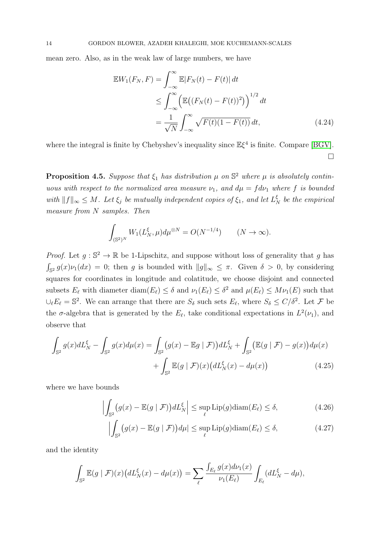mean zero. Also, as in the weak law of large numbers, we have

$$
\mathbb{E}W_1(F_N, F) = \int_{-\infty}^{\infty} \mathbb{E}|F_N(t) - F(t)| dt
$$
  
\n
$$
\leq \int_{-\infty}^{\infty} \left( \mathbb{E}((F_N(t) - F(t))^2) \right)^{1/2} dt
$$
  
\n
$$
= \frac{1}{\sqrt{N}} \int_{-\infty}^{\infty} \sqrt{F(t)(1 - F(t))} dt,
$$
\n(4.24)

where the integral is finite by Chebyshev's inequality since  $\mathbb{E}\xi^4$  is finite. Compare [\[BGV\]](#page-34-10).  $\Box$ 

<span id="page-13-1"></span>**Proposition 4.5.** Suppose that  $\xi_1$  has distribution  $\mu$  on  $\mathbb{S}^2$  where  $\mu$  is absolutely continuous with respect to the normalized area measure  $\nu_1$ , and  $d\mu = f d\nu_1$  where f is bounded with  $||f||_{\infty} \leq M$ . Let  $\xi_j$  be mutually independent copies of  $\xi_1$ , and let  $L_N^{\xi}$  be the empirical measure from N samples. Then

$$
\int_{(\mathbb{S}^2)^N} W_1(L_N^{\xi}, \mu) d\mu^{\otimes N} = O(N^{-1/4}) \qquad (N \to \infty).
$$

*Proof.* Let  $g : \mathbb{S}^2 \to \mathbb{R}$  be 1-Lipschitz, and suppose without loss of generality that g has  $\int_{\mathbb{S}^2} g(x) \nu_1(dx) = 0$ ; then g is bounded with  $||g||_{\infty} \leq \pi$ . Given  $\delta > 0$ , by considering squares for coordinates in longitude and colatitude, we choose disjoint and connected subsets  $E_\ell$  with diameter diam $(E_\ell) \leq \delta$  and  $\nu_1(E_\ell) \leq \delta^2$  and  $\mu(E_\ell) \leq M\nu_1(E)$  such that  $\bigcup_{\ell} E_{\ell} = \mathbb{S}^2$ . We can arrange that there are  $S_{\delta}$  such sets  $E_{\ell}$ , where  $S_{\delta} \le C/\delta^2$ . Let F be the  $\sigma$ -algebra that is generated by the  $E_{\ell}$ , take conditional expectations in  $L^2(\nu_1)$ , and observe that

$$
\int_{\mathbb{S}^2} g(x) dL_N^{\xi} - \int_{\mathbb{S}^2} g(x) d\mu(x) = \int_{\mathbb{S}^2} (g(x) - \mathbb{E}g \mid \mathcal{F}) dL_N^{\xi} + \int_{\mathbb{S}^2} (\mathbb{E}(g \mid \mathcal{F}) - g(x)) d\mu(x) \n+ \int_{\mathbb{S}^2} \mathbb{E}(g \mid \mathcal{F})(x) (dL_N^{\xi}(x) - d\mu(x)) \tag{4.25}
$$

where we have bounds

$$
\left| \int_{\mathbb{S}^2} \left( g(x) - \mathbb{E}(g \mid \mathcal{F}) \right) dL_N^{\xi} \right| \le \sup_{\ell} \text{Lip}(g) \text{diam}(E_{\ell}) \le \delta,
$$
\n(4.26)

<span id="page-13-0"></span>
$$
\left| \int_{\mathbb{S}^2} \left( g(x) - \mathbb{E}(g \mid \mathcal{F}) \right) d\mu \right| \le \sup_{\ell} \text{Lip}(g) \text{diam}(E_{\ell}) \le \delta,
$$
\n(4.27)

and the identity

$$
\int_{\mathbb{S}^2} \mathbb{E}(g \mid \mathcal{F})(x) \big( dL_N^{\xi}(x) - d\mu(x) \big) = \sum_{\ell} \frac{\int_{E_{\ell}} g(x) d\nu_1(x)}{\nu_1(E_{\ell})} \int_{E_{\ell}} (dL_N^{\xi} - d\mu),
$$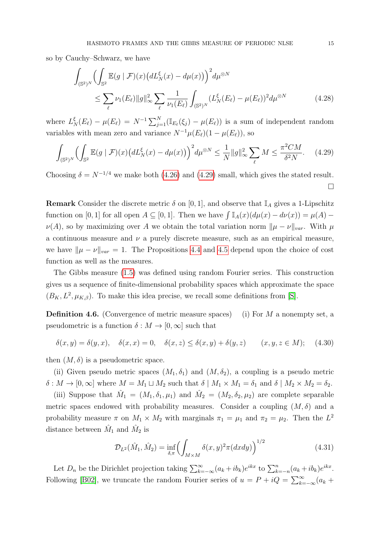so by Cauchy–Schwarz, we have

<span id="page-14-0"></span>
$$
\int_{(\mathbb{S}^2)^N} \left( \int_{\mathbb{S}^2} \mathbb{E}(g \mid \mathcal{F})(x) \left( dL_N^{\xi}(x) - d\mu(x) \right) \right)^2 d\mu^{\otimes N} \n\le \sum_{\ell} \nu_1(E_{\ell}) \|g\|_{\infty}^2 \sum_{\ell} \frac{1}{\nu_1(E_{\ell})} \int_{(\mathbb{S}^2)^N} (L_N^{\xi}(E_{\ell}) - \mu(E_{\ell}))^2 d\mu^{\otimes N}
$$
\n(4.28)

where  $L_N^{\xi}(E_\ell) - \mu(E_\ell) = N^{-1} \sum_{j=1}^N (\mathbb{I}_{E_\ell}(\xi_j) - \mu(E_\ell))$  is a sum of independent random variables with mean zero and variance  $N^{-1}\mu(E_{\ell})(1 - \mu(E_{\ell}))$ , so

$$
\int_{(\mathbb{S}^2)^N} \left( \int_{\mathbb{S}^2} \mathbb{E}(g \mid \mathcal{F})(x) \left( dL_N^{\xi}(x) - d\mu(x) \right) \right)^2 d\mu^{\otimes N} \le \frac{1}{N} \|g\|_{\infty}^2 \sum_{\ell} M \le \frac{\pi^2 CM}{\delta^2 N}.
$$
 (4.29)

Choosing  $\delta = N^{-1/4}$  we make both [\(4.26\)](#page-13-0) and [\(4.29\)](#page-14-0) small, which gives the stated result.  $\Box$ 

**Remark** Consider the discrete metric  $\delta$  on [0, 1], and observe that  $\mathbb{I}_A$  gives a 1-Lipschitz function on [0, 1] for all open  $A \subseteq [0, 1]$ . Then we have  $\int \mathbb{I}_A(x)(d\mu(x) - d\nu(x)) = \mu(A) \nu(A)$ , so by maximizing over A we obtain the total variation norm  $\|\mu - \nu\|_{var}$ . With  $\mu$ a continuous measure and  $\nu$  a purely discrete measure, such as an empirical measure, we have  $\|\mu - \nu\|_{var} = 1$ . The Propositions [4.4](#page-12-1) and [4.5](#page-13-1) depend upon the choice of cost function as well as the measures.

The Gibbs measure [\(1.5\)](#page-1-0) was defined using random Fourier series. This construction gives us a sequence of finite-dimensional probability spaces which approximate the space  $(B_K, L^2, \mu_{K,\beta})$ . To make this idea precise, we recall some definitions from [\[S\]](#page-35-3).

**Definition 4.6.** (Convergence of metric measure spaces) (i) For M a nonempty set, a pseudometric is a function  $\delta : M \to [0, \infty]$  such that

$$
\delta(x,y) = \delta(y,x), \quad \delta(x,x) = 0, \quad \delta(x,z) \le \delta(x,y) + \delta(y,z) \qquad (x,y,z \in M); \quad (4.30)
$$

then  $(M, \delta)$  is a pseudometric space.

(ii) Given pseudo metric spaces  $(M_1, \delta_1)$  and  $(M, \delta_2)$ , a coupling is a pseudo metric  $\delta: M \to [0, \infty]$  where  $M = M_1 \sqcup M_2$  such that  $\delta \mid M_1 \times M_1 = \delta_1$  and  $\delta \mid M_2 \times M_2 = \delta_2$ .

(iii) Suppose that  $\hat{M}_1 = (M_1, \delta_1, \mu_1)$  and  $\hat{M}_2 = (M_2, \delta_2, \mu_2)$  are complete separable metric spaces endowed with probability measures. Consider a coupling  $(M, \delta)$  and a probability measure  $\pi$  on  $M_1 \times M_2$  with marginals  $\pi_1 = \mu_1$  and  $\pi_2 = \mu_2$ . Then the  $L^2$ distance between  $\hat{M}_1$  and  $\hat{M}_2$  is

$$
\mathcal{D}_{L^{2}}(\hat{M}_{1}, \hat{M}_{2}) = \inf_{\delta, \pi} \left( \int_{M \times M} \delta(x, y)^{2} \pi(dxdy) \right)^{1/2}
$$
(4.31)

Let  $D_n$  be the Dirichlet projection taking  $\sum_{k=-\infty}^{\infty} (a_k + ib_k)e^{ikx}$  to  $\sum_{k=-n}^{n} (a_k + ib_k)e^{ikx}$ . Following [\[B02\]](#page-34-11), we truncate the random Fourier series of  $u = P + iQ = \sum_{k=-\infty}^{\infty} (a_k +$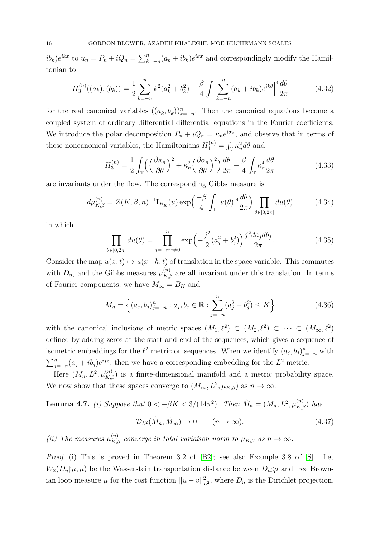$ib_k)e^{ikx}$  to  $u_n = P_n + iQ_n = \sum_{k=-n}^n (a_k + ib_k)e^{ikx}$  and correspondingly modify the Hamiltonian to

$$
H_3^{(n)}((a_k),(b_k)) = \frac{1}{2} \sum_{k=-n}^n k^2 (a_k^2 + b_k^2) + \frac{\beta}{4} \int \Big| \sum_{k=-n}^n (a_k + ib_k) e^{ik\theta} \Big|^4 \frac{d\theta}{2\pi}
$$
(4.32)

for the real canonical variables  $((a_k, b_k))_{k=-n}^n$ . Then the canonical equations become a coupled system of ordinary differential differential equations in the Fourier coefficients. We introduce the polar decomposition  $P_n + iQ_n = \kappa_n e^{i\sigma_n}$ , and observe that in terms of these noncanonical variables, the Hamiltonians  $H_1^{(n)} = \int_{\mathbb{T}} \kappa_n^2 d\theta$  and

$$
H_3^{(n)} = \frac{1}{2} \int_{\mathbb{T}} \left( \left( \frac{\partial \kappa_n}{\partial \theta} \right)^2 + \kappa_n^2 \left( \frac{\partial \sigma_n}{\partial \theta} \right)^2 \right) \frac{d\theta}{2\pi} + \frac{\beta}{4} \int_{\mathbb{T}} \kappa_n^4 \frac{d\theta}{2\pi}
$$
(4.33)

are invariants under the flow. The corresponding Gibbs measure is

$$
d\mu_{K,\beta}^{(n)} = Z(K,\beta,n)^{-1} \mathbf{I}_{B_K}(u) \exp\left(\frac{-\beta}{4} \int_{\mathbb{T}} |u(\theta)|^4 \frac{d\theta}{2\pi}\right) \prod_{\theta \in [0,2\pi]} du(\theta) \tag{4.34}
$$

in which

$$
\prod_{\theta \in [0,2\pi]} du(\theta) = \prod_{j=-n;j\neq 0}^{n} \exp\left(-\frac{j^2}{2}(a_j^2 + b_j^2)\right) \frac{j^2 da_j db_j}{2\pi}.
$$
\n(4.35)

Consider the map  $u(x, t) \mapsto u(x+h, t)$  of translation in the space variable. This commutes with  $D_n$ , and the Gibbs measures  $\mu_{K,\beta}^{(n)}$  are all invariant under this translation. In terms of Fourier components, we have  $M_{\infty} = B_K$  and

<span id="page-15-0"></span>
$$
M_n = \left\{ (a_j, b_j)_{j=-n}^n : a_j, b_j \in \mathbb{R} : \sum_{j=-n}^n (a_j^2 + b_j^2) \le K \right\}
$$
 (4.36)

with the canonical inclusions of metric spaces  $(M_1, \ell^2) \subset (M_2, \ell^2) \subset \cdots \subset (M_{\infty}, \ell^2)$ defined by adding zeros at the start and end of the sequences, which gives a sequence of isometric embeddings for the  $\ell^2$  metric on sequences. When we identify  $(a_j, b_j)_{j=-n}^n$  with  $\sum_{j=-n}^{n} (a_j + ib_j)e^{ijx}$ , then we have a corresponding embedding for the  $L^2$  metric.

Here  $(M_n, L^2, \mu_{K,\beta}^{(n)})$  is a finite-dimensional manifold and a metric probability space. We now show that these spaces converge to  $(M_{\infty}, L^2, \mu_{K,\beta})$  as  $n \to \infty$ .

<span id="page-15-1"></span>**Lemma 4.7.** (i) Suppose that  $0 < -\beta K < 3/(14\pi^2)$ . Then  $\hat{M}_n = (M_n, L^2, \mu_{K,\beta}^{(n)})$  has

$$
\mathcal{D}_{L^2}(\hat{M}_n, \hat{M}_\infty) \to 0 \qquad (n \to \infty). \tag{4.37}
$$

(ii) The measures  $\mu_{K,\beta}^{(n)}$  converge in total variation norm to  $\mu_{K,\beta}$  as  $n \to \infty$ .

Proof. (i) This is proved in Theorem 3.2 of [\[B2\]](#page-33-2); see also Example 3.8 of [\[S\]](#page-35-3). Let  $W_2(D_n\sharp\mu,\mu)$  be the Wasserstein transportation distance between  $D_n\sharp\mu$  and free Brownian loop measure  $\mu$  for the cost function  $||u - v||_{L^2}^2$ , where  $D_n$  is the Dirichlet projection.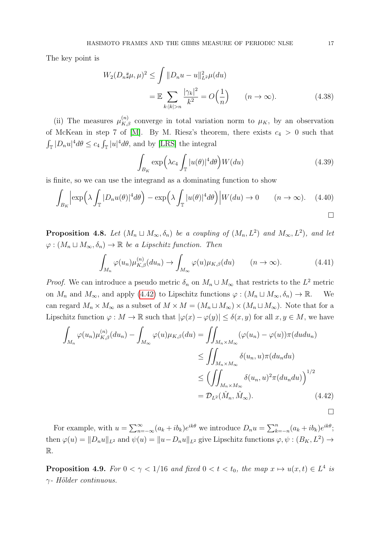The key point is

$$
W_2(D_n \sharp \mu, \mu)^2 \le \int \|D_n u - u\|_{L^2}^2 \mu(du)
$$
  
= 
$$
\mathbb{E} \sum_{k:|k|>n} \frac{|\gamma_k|^2}{k^2} = O\Big(\frac{1}{n}\Big) \qquad (n \to \infty).
$$
 (4.38)

(ii) The measures  $\mu_{K,\beta}^{(n)}$  converge in total variation norm to  $\mu_K$ , by an observation of McKean in step 7 of [\[M\]](#page-35-0). By M. Riesz's theorem, there exists  $c_4 > 0$  such that  $\int_{\mathbb{T}} |D_n u|^4 d\theta \leq c_4 \int_{\mathbb{T}} |u|^4 d\theta$ , and by [\[LRS\]](#page-34-0) the integral

$$
\int_{B_K} \exp\left(\lambda c_4 \int_{\mathbb{T}} |u(\theta)|^4 d\theta\right) W(du) \tag{4.39}
$$

is finite, so we can use the integrand as a dominating function to show

$$
\int_{B_K} \left| \exp\left(\lambda \int_{\mathbb{T}} |D_n u(\theta)|^4 d\theta \right) - \exp\left(\lambda \int_{\mathbb{T}} |u(\theta)|^4 d\theta \right) \middle| W(du) \to 0 \qquad (n \to \infty). \tag{4.40}
$$

<span id="page-16-1"></span>**Proposition 4.8.** Let  $(M_n \sqcup M_\infty, \delta_n)$  be a coupling of  $(M_n, L^2)$  and  $M_\infty, L^2$ , and let  $\varphi: (M_n \sqcup M_\infty, \delta_n) \to \mathbb{R}$  be a Lipschitz function. Then

<span id="page-16-0"></span>
$$
\int_{M_n} \varphi(u_n) \mu_{K,\beta}^{(n)}(du_n) \to \int_{M_\infty} \varphi(u) \mu_{K,\beta}(du) \qquad (n \to \infty).
$$
 (4.41)

*Proof.* We can introduce a pseudo metric  $\delta_n$  on  $M_n \cup M_\infty$  that restricts to the  $L^2$  metric on  $M_n$  and  $M_\infty$ , and apply [\(4.42\)](#page-16-0) to Lipschitz functions  $\varphi : (M_n \sqcup M_\infty, \delta_n) \to \mathbb{R}$ . We can regard  $M_n \times M_\infty$  as a subset of  $M \times M = (M_n \sqcup M_\infty) \times (M_n \sqcup M_\infty)$ . Note that for a Lipschitz function  $\varphi : M \to \mathbb{R}$  such that  $|\varphi(x) - \varphi(y)| \leq \delta(x, y)$  for all  $x, y \in M$ , we have

$$
\int_{M_n} \varphi(u_n) \mu_{K,\beta}^{(n)}(du_n) - \int_{M_{\infty}} \varphi(u) \mu_{K,\beta}(du) = \iint_{M_n \times M_{\infty}} (\varphi(u_n) - \varphi(u)) \pi(du du_n)
$$
\n
$$
\leq \iint_{M_n \times M_{\infty}} \delta(u_n, u) \pi(du_n du)
$$
\n
$$
\leq \left( \iint_{M_n \times M_{\infty}} \delta(u_n, u)^2 \pi(du_n du) \right)^{1/2}
$$
\n
$$
= \mathcal{D}_{L^2}(\hat{M}_n, \hat{M}_\infty).
$$
\n(4.42)

For example, with  $u = \sum_{n=-\infty}^{\infty} (a_k + ib_k)e^{ik\theta}$  we introduce  $D_n u = \sum_{k=-n}^n (a_k + ib_k)e^{ik\theta}$ ; then  $\varphi(u) = ||D_n u||_{L^2}$  and  $\psi(u) = ||u - D_n u||_{L^2}$  give Lipschitz functions  $\varphi, \psi : (B_K, L^2) \to$ R.

**Proposition 4.9.** For  $0 < \gamma < 1/16$  and fixed  $0 < t < t_0$ , the map  $x \mapsto u(x, t) \in L^4$  is  $\gamma$ - Hölder continuous.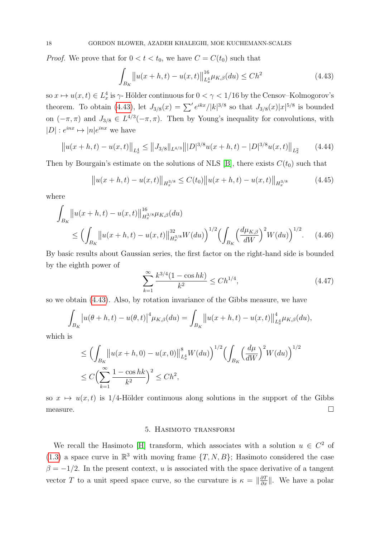*Proof.* We prove that for  $0 < t < t_0$ , we have  $C = C(t_0)$  such that

<span id="page-17-0"></span>
$$
\int_{B_K} \left\| u(x+h,t) - u(x,t) \right\|_{L_x^4}^{16} \mu_{K,\beta}(du) \le Ch^2 \tag{4.43}
$$

so  $x \mapsto u(x, t) \in L_x^4$  is  $\gamma$ -Hölder continuous for  $0 < \gamma < 1/16$  by the Censov–Kolmogorov's theorem. To obtain [\(4.43\)](#page-17-0), let  $J_{3/8}(x) = \sum' e^{ikx} / |k|^{3/8}$  so that  $J_{3/8}(x)|x|^{5/8}$  is bounded on  $(-\pi, \pi)$  and  $J_{3/8} \in L^{4/3}(-\pi, \pi)$ . Then by Young's inequality for convolutions, with  $|D|: e^{inx} \mapsto |n|e^{inx}$  we have

$$
\left\|u(x+h,t) - u(x,t)\right\|_{L^4_x} \le \left\|J_{3/8}\right\|_{L^{4/3}} \left\| |D|^{3/8} u(x+h,t) - |D|^{3/8} u(x,t) \right\|_{L^2_x} \tag{4.44}
$$

Then by Bourgain's estimate on the solutions of NLS [\[B\]](#page-33-3), there exists  $C(t_0)$  such that

$$
||u(x+h,t) - u(x,t)||_{H_x^{3/8}} \le C(t_0)||u(x+h,t) - u(x,t)||_{H_x^{3/8}}
$$
(4.45)

where

$$
\int_{B_K} \left\| u(x+h,t) - u(x,t) \right\|_{H_x^{3/8}}^{16} \mu_{K,\beta}(du)
$$
\n
$$
\leq \left( \int_{B_K} \left\| u(x+h,t) - u(x,t) \right\|_{H_x^{3/8}}^{32} W(du) \right)^{1/2} \left( \int_{B_K} \left( \frac{d\mu_{K,\beta}}{dW} \right)^2 W(du) \right)^{1/2} . \tag{4.46}
$$

By basic results about Gaussian series, the first factor on the right-hand side is bounded by the eighth power of

$$
\sum_{k=1}^{\infty} \frac{k^{3/4} (1 - \cos hk)}{k^2} \le C h^{1/4},\tag{4.47}
$$

so we obtain [\(4.43\)](#page-17-0). Also, by rotation invariance of the Gibbs measure, we have

$$
\int_{B_K} |u(\theta + h, t) - u(\theta, t)|^4 \mu_{K, \beta}(du) = \int_{B_K} ||u(x + h, t) - u(x, t)||_{L^4_x}^4 \mu_{K, \beta}(du),
$$

which is

$$
\leq \Big(\int_{B_K} \Big| |u(x+h,0) - u(x,0)| \Big|_{L_x^4}^8 W(du) \Big)^{1/2} \Big(\int_{B_K} \Big(\frac{d\mu}{dW}\Big)^2 W(du)\Big)^{1/2}
$$
  

$$
\leq C \Big(\sum_{k=1}^{\infty} \frac{1 - \cos hk}{k^2}\Big)^2 \leq Ch^2,
$$

so  $x \mapsto u(x, t)$  is 1/4-Hölder continuous along solutions in the support of the Gibbs  $\Box$  measure.

### 5. Hasimoto transform

We recall the Hasimoto [\[H\]](#page-34-12) transform, which associates with a solution  $u \in C^2$  of [\(1.3\)](#page-0-0) a space curve in  $\mathbb{R}^3$  with moving frame  $\{T, N, B\}$ ; Hasimoto considered the case  $\beta = -1/2$ . In the present context, u is associated with the space derivative of a tangent vector T to a unit speed space curve, so the curvature is  $\kappa = \|\frac{\partial T}{\partial x}\|$ . We have a polar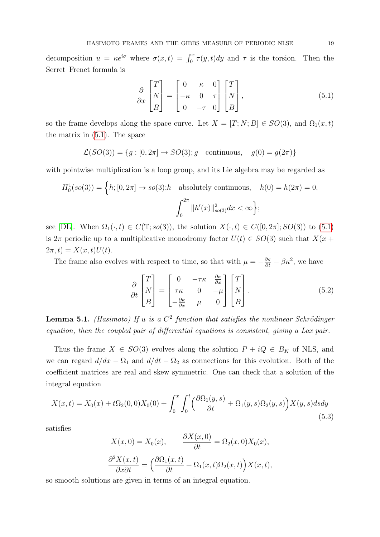decomposition  $u = \kappa e^{i\sigma}$  where  $\sigma(x,t) = \int_0^x \tau(y,t) dy$  and  $\tau$  is the torsion. Then the Serret–Frenet formula is

<span id="page-18-0"></span>
$$
\frac{\partial}{\partial x} \begin{bmatrix} T \\ N \\ B \end{bmatrix} = \begin{bmatrix} 0 & \kappa & 0 \\ -\kappa & 0 & \tau \\ 0 & -\tau & 0 \end{bmatrix} \begin{bmatrix} T \\ N \\ B \end{bmatrix},
$$
\n(5.1)

so the frame develops along the space curve. Let  $X = [T; N; B] \in SO(3)$ , and  $\Omega_1(x, t)$ the matrix in [\(5.1\)](#page-18-0). The space

$$
\mathcal{L}(SO(3)) = \{g : [0, 2\pi] \to SO(3); g \text{ continuous}, g(0) = g(2\pi)\}\
$$

with pointwise multiplication is a loop group, and its Lie algebra may be regarded as

$$
H_0^1(so(3)) = \left\{ h; [0, 2\pi] \to so(3); h \text{ absolutely continuous, } h(0) = h(2\pi) = 0, \int_0^{2\pi} ||h'(x)||_{so(3)}^2 dx < \infty \right\};
$$

see [\[DL\]](#page-34-13). When  $\Omega_1(\cdot, t) \in C(\mathbb{T}; so(3))$ , the solution  $X(\cdot, t) \in C([0, 2\pi]; SO(3))$  to [\(5.1\)](#page-18-0) is  $2\pi$  periodic up to a multiplicative monodromy factor  $U(t) \in SO(3)$  such that  $X(x +$  $2\pi, t) = X(x, t)U(t).$ 

The frame also evolves with respect to time, so that with  $\mu = -\frac{\partial \sigma}{\partial t} - \beta \kappa^2$ , we have

<span id="page-18-1"></span>
$$
\frac{\partial}{\partial t} \begin{bmatrix} T \\ N \\ B \end{bmatrix} = \begin{bmatrix} 0 & -\tau \kappa & \frac{\partial \kappa}{\partial x} \\ \tau \kappa & 0 & -\mu \\ -\frac{\partial \kappa}{\partial x} & \mu & 0 \end{bmatrix} \begin{bmatrix} T \\ N \\ B \end{bmatrix}.
$$
 (5.2)

**Lemma 5.1.** (Hasimoto) If u is a  $C^2$  function that satisfies the nonlinear Schrödinger equation, then the coupled pair of differential equations is consistent, giving a Lax pair.

Thus the frame  $X \in SO(3)$  evolves along the solution  $P + iQ \in B_K$  of NLS, and we can regard  $d/dx - \Omega_1$  and  $d/dt - \Omega_2$  as connections for this evolution. Both of the coefficient matrices are real and skew symmetric. One can check that a solution of the integral equation

$$
X(x,t) = X_0(x) + t\Omega_2(0,0)X_0(0) + \int_0^x \int_0^t \left(\frac{\partial \Omega_1(y,s)}{\partial t} + \Omega_1(y,s)\Omega_2(y,s)\right) X(y,s) ds dy\tag{5.3}
$$

satisfies

$$
X(x,0) = X_0(x), \qquad \frac{\partial X(x,0)}{\partial t} = \Omega_2(x,0)X_0(x),
$$

$$
\frac{\partial^2 X(x,t)}{\partial x \partial t} = \left(\frac{\partial \Omega_1(x,t)}{\partial t} + \Omega_1(x,t)\Omega_2(x,t)\right)X(x,t),
$$

so smooth solutions are given in terms of an integral equation.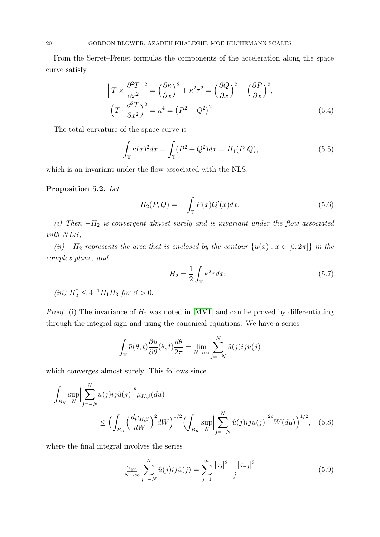From the Serret–Frenet formulas the components of the acceleration along the space curve satisfy

$$
\left\|T \times \frac{\partial^2 T}{\partial x^2}\right\|^2 = \left(\frac{\partial \kappa}{\partial x}\right)^2 + \kappa^2 \tau^2 = \left(\frac{\partial Q}{\partial x}\right)^2 + \left(\frac{\partial P}{\partial x}\right)^2,
$$
  

$$
\left(T \cdot \frac{\partial^2 T}{\partial x^2}\right)^2 = \kappa^4 = \left(P^2 + Q^2\right)^2.
$$
 (5.4)

The total curvature of the space curve is

<span id="page-19-3"></span><span id="page-19-2"></span>
$$
\int_{\mathbb{T}} \kappa(x)^2 dx = \int_{\mathbb{T}} (P^2 + Q^2) dx = H_1(P, Q), \tag{5.5}
$$

which is an invariant under the flow associated with the NLS.

# Proposition 5.2. Let

$$
H_2(P,Q) = -\int_{\mathbb{T}} P(x)Q'(x)dx.
$$
 (5.6)

(i) Then  $-H_2$  is convergent almost surely and is invariant under the flow associated with NLS.

(ii)  $-H_2$  represents the area that is enclosed by the contour  $\{u(x): x \in [0, 2\pi]\}\$ in the complex plane, and

$$
H_2 = \frac{1}{2} \int_{\mathbb{T}} \kappa^2 \tau dx; \tag{5.7}
$$

(iii)  $H_2^2 \leq 4^{-1}H_1H_3$  for  $\beta > 0$ .

*Proof.* (i) The invariance of  $H_2$  was noted in [\[MV1\]](#page-35-4) and can be proved by differentiating through the integral sign and using the canonical equations. We have a series

$$
\int_{\mathbb{T}} \bar{u}(\theta, t) \frac{\partial u}{\partial \theta}(\theta, t) \frac{d\theta}{2\pi} = \lim_{N \to \infty} \sum_{j=-N}^{N} \bar{u}(j) i j \hat{u}(j)
$$

which converges almost surely. This follows since

$$
\int_{B_K} \sup_{N} \Big| \sum_{j=-N}^{N} \overline{\hat{u}(j)} i j \hat{u}(j) \Big|^p \mu_{K,\beta}(du) \le \Big( \int_{B_K} \Big( \frac{d\mu_{K,\beta}}{dW} \Big)^2 dW \Big)^{1/2} \Big( \int_{B_K} \sup_{N} \Big| \sum_{j=-N}^{N} \overline{\hat{u}(j)} i j \hat{u}(j) \Big|^{2p} W(du) \Big)^{1/2}, \quad (5.8)
$$

where the final integral involves the series

<span id="page-19-1"></span><span id="page-19-0"></span>
$$
\lim_{N \to \infty} \sum_{j=-N}^{N} \overline{\hat{u}(j)} i j \hat{u}(j) = \sum_{j=1}^{\infty} \frac{|z_j|^2 - |z_{-j}|^2}{j} \tag{5.9}
$$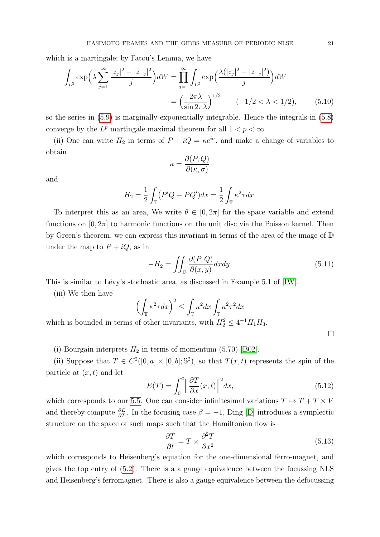which is a martingale; by Fatou's Lemma, we have

$$
\int_{L^2} \exp\left(\lambda \sum_{j=1}^{\infty} \frac{|z_j|^2 - |z_{-j}|^2}{j}\right) dW = \prod_{j=1}^{\infty} \int_{L^2} \exp\left(\frac{\lambda(|z_j|^2 - |z_{-j}|^2)}{j}\right) dW
$$

$$
= \left(\frac{2\pi\lambda}{\sin 2\pi\lambda}\right)^{1/2} \quad (-1/2 < \lambda < 1/2), \tag{5.10}
$$

so the series in [\(5.9\)](#page-19-0) is marginally exponentially integrable. Hence the integrals in [\(5.8\)](#page-19-1) converge by the  $L^p$  martingale maximal theorem for all  $1 < p < \infty$ .

(ii) One can write  $H_2$  in terms of  $P + iQ = \kappa e^{i\sigma}$ , and make a change of variables to obtain

$$
\kappa = \frac{\partial(P,Q)}{\partial(\kappa,\sigma)}
$$

and

$$
H_2 = \frac{1}{2} \int_{\mathbb{T}} (P'Q - PQ')dx = \frac{1}{2} \int_{\mathbb{T}} \kappa^2 \tau dx.
$$

To interpret this as an area, We write  $\theta \in [0, 2\pi]$  for the space variable and extend functions on  $[0, 2\pi]$  to harmonic functions on the unit disc via the Poisson kernel. Then by Green's theorem, we can express this invariant in terms of the area of the image of D under the map to  $P + iQ$ , as in

$$
-H_2 = \iint_{\mathbb{D}} \frac{\partial(P, Q)}{\partial(x, y)} dx dy.
$$
 (5.11)

This is similar to Lévy's stochastic area, as discussed in Example 5.1 of [\[IW\]](#page-34-14).

(iii) We then have

$$
\left(\int_{\mathbb{T}} \kappa^2 \tau dx\right)^2 \le \int_{\mathbb{T}} \kappa^2 dx \int_{\mathbb{T}} \kappa^2 \tau^2 dx
$$

which is bounded in terms of other invariants, with  $H_2^2 \leq 4^{-1}H_1H_3$ .

(i) Bourgain interprets  $H_2$  in terms of momentum (5.70) [\[B02\]](#page-34-11).

(ii) Suppose that  $T \in C^2([0, a] \times [0, b]; \mathbb{S}^2)$ , so that  $T(x, t)$  represents the spin of the particle at  $(x, t)$  and let

$$
E(T) = \int_0^a \left\| \frac{\partial T}{\partial x}(x, t) \right\|^2 dx, \tag{5.12}
$$

which corresponds to our [5.5.](#page-19-2) One can consider infinitesimal variations  $T \mapsto T + T \times V$ and thereby compute  $\frac{\partial E}{\partial T}$ . In the focusing case  $\beta = -1$ , Ding [\[D\]](#page-34-15) introduces a symplectic structure on the space of such maps such that the Hamiltonian flow is

$$
\frac{\partial T}{\partial t} = T \times \frac{\partial^2 T}{\partial x^2} \tag{5.13}
$$

which corresponds to Heisenberg's equation for the one-dimensional ferro-magnet, and gives the top entry of [\(5.2\)](#page-18-1). There is a a gauge equivalence between the focussing NLS and Heisenberg's ferromagnet. There is also a gauge equivalence between the defocussing

 $\Box$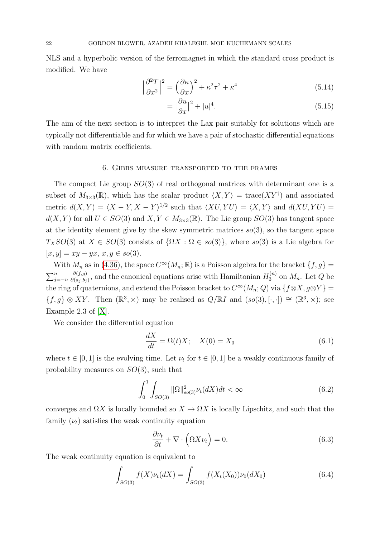NLS and a hyperbolic version of the ferromagnet in which the standard cross product is modified. We have

$$
\left|\frac{\partial^2 T}{\partial x^2}\right|^2 = \left(\frac{\partial \kappa}{\partial x}\right)^2 + \kappa^2 \tau^2 + \kappa^4 \tag{5.14}
$$

$$
= \left|\frac{\partial u}{\partial x}\right|^2 + |u|^4. \tag{5.15}
$$

The aim of the next section is to interpret the Lax pair suitably for solutions which are typically not differentiable and for which we have a pair of stochastic differential equations with random matrix coefficients.

### 6. Gibbs measure transported to the frames

The compact Lie group  $SO(3)$  of real orthogonal matrices with determinant one is a subset of  $M_{3\times3}(\mathbb{R})$ , which has the scalar product  $\langle X, Y \rangle = \text{trace}(XY^{\dagger})$  and associated metric  $d(X, Y) = \langle X - Y, X - Y \rangle^{1/2}$  such that  $\langle XU, YU \rangle = \langle X, Y \rangle$  and  $d(XU, YU) =$  $d(X, Y)$  for all  $U \in SO(3)$  and  $X, Y \in M_{3 \times 3}(\mathbb{R})$ . The Lie group  $SO(3)$  has tangent space at the identity element give by the skew symmetric matrices  $so(3)$ , so the tangent space  $T_XSO(3)$  at  $X \in SO(3)$  consists of  $\{\Omega X : \Omega \in so(3)\}\)$ , where  $so(3)$  is a Lie algebra for  $[x, y] = xy - yx, x, y \in so(3).$ 

With  $M_n$  as in [\(4.36\)](#page-15-0), the space  $C^{\infty}(M_n; \mathbb{R})$  is a Poisson algebra for the bracket  $\{f, g\} =$  $\sum_{j=-n}^{n}$  $\partial(f,g)$  $\frac{\partial (f,g)}{\partial (a_j,b_j)}$ , and the canonical equations arise with Hamiltonian  $H_3^{(n)}$  $3^{(n)}$  on  $M_n$ . Let Q be the ring of quaternions, and extend the Poisson bracket to  $C^{\infty}(M_n; Q)$  via  $\{f \otimes X, g \otimes Y\}$  $\{f,g\}\otimes XY$ . Then  $(\mathbb{R}^3,\times)$  may be realised as  $Q/\mathbb{R}I$  and  $(so(3), [\cdot,\cdot]) \cong (\mathbb{R}^3,\times)$ ; see Example 2.3 of [\[X\]](#page-35-5).

We consider the differential equation

<span id="page-21-0"></span>
$$
\frac{dX}{dt} = \Omega(t)X; \quad X(0) = X_0 \tag{6.1}
$$

where  $t \in [0, 1]$  is the evolving time. Let  $\nu_t$  for  $t \in [0, 1]$  be a weakly continuous family of probability measures on  $SO(3)$ , such that

<span id="page-21-1"></span>
$$
\int_{0}^{1} \int_{SO(3)} \|\Omega\|_{so(3)}^{2} \nu_{t}(dX)dt < \infty
$$
\n(6.2)

converges and  $\Omega X$  is locally bounded so  $X \mapsto \Omega X$  is locally Lipschitz, and such that the family  $(\nu_t)$  satisfies the weak continuity equation

$$
\frac{\partial \nu_t}{\partial t} + \nabla \cdot \left( \Omega X \nu_t \right) = 0. \tag{6.3}
$$

The weak continuity equation is equivalent to

$$
\int_{SO(3)} f(X)\nu_t(dX) = \int_{SO(3)} f(X_t(X_0))\nu_0(dX_0)
$$
\n(6.4)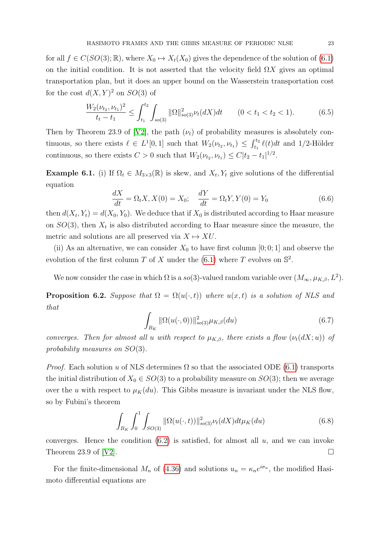for all  $f \in C(SO(3); \mathbb{R})$ , where  $X_0 \mapsto X_t(X_0)$  gives the dependence of the solution of [\(6.1\)](#page-21-0) on the initial condition. It is not asserted that the velocity field  $\Omega X$  gives an optimal transportation plan, but it does an upper bound on the Wasserstein transportation cost for the cost  $d(X, Y)^2$  on  $SO(3)$  of

$$
\frac{W_2(\nu_{t_2}, \nu_{t_1})^2}{t_t - t_1} \le \int_{t_1}^{t_2} \int_{so(3)} ||\Omega||_{so(3)}^2 \nu_t(dX) dt \qquad (0 < t_1 < t_2 < 1).
$$
 (6.5)

Then by Theorem 23.9 of [\[V2\]](#page-35-2), the path  $(\nu_t)$  of probability measures is absolutely continuous, so there exists  $\ell \in L^1[0,1]$  such that  $W_2(\nu_{t_2}, \nu_{t_1}) \leq \int_{t_1}^{t_2} \ell(t) dt$  and 1/2-Hölder continuous, so there exists  $C > 0$  such that  $W_2(\nu_{t_2}, \nu_{t_1}) \leq C |t_2 - t_1|^{1/2}$ .

**Example 6.1.** (i) If  $\Omega_t \in M_{3\times3}(\mathbb{R})$  is skew, and  $X_t, Y_t$  give solutions of the differential equation

$$
\frac{dX}{dt} = \Omega_t X, X(0) = X_0; \quad \frac{dY}{dt} = \Omega_t Y, Y(0) = Y_0
$$
\n(6.6)

then  $d(X_t, Y_t) = d(X_0, Y_0)$ . We deduce that if  $X_0$  is distributed according to Haar measure on  $SO(3)$ , then  $X_t$  is also distributed according to Haar measure since the measure, the metric and solutions are all preserved via  $X \mapsto XU$ .

(ii) As an alternative, we can consider  $X_0$  to have first column [0; 0; 1] and observe the evolution of the first column T of X under the  $(6.1)$  where T evolves on  $\mathbb{S}^2$ .

We now consider the case in which  $\Omega$  is a so(3)-valued random variable over  $(M_{\infty}, \mu_{K,\beta}, L^2)$ .

<span id="page-22-0"></span>**Proposition 6.2.** Suppose that  $\Omega = \Omega(u(\cdot,t))$  where  $u(x,t)$  is a solution of NLS and that

$$
\int_{B_K} \|\Omega(u(\cdot,0))\|_{so(3)}^2 \mu_{K,\beta}(du) \tag{6.7}
$$

converges. Then for almost all u with respect to  $\mu_{K,\beta}$ , there exists a flow  $(\nu_t(dX; u))$  of probability measures on SO(3).

*Proof.* Each solution u of NLS determines  $\Omega$  so that the associated ODE [\(6.1\)](#page-21-0) transports the initial distribution of  $X_0 \in SO(3)$  to a probability measure on  $SO(3)$ ; then we average over the u with respect to  $\mu_K(du)$ . This Gibbs measure is invariant under the NLS flow, so by Fubini's theorem

$$
\int_{B_K} \int_0^1 \int_{SO(3)} ||\Omega(u(\cdot, t))||^2_{so(3)} \nu_t(dX) dt \mu_K(du) \tag{6.8}
$$

converges. Hence the condition  $(6.2)$  is satisfied, for almost all  $u$ , and we can invoke Theorem 23.9 of [\[V2\]](#page-35-2).

For the finite-dimensional  $M_n$  of [\(4.36\)](#page-15-0) and solutions  $u_n = \kappa_n e^{i\sigma_n}$ , the modified Hasimoto differential equations are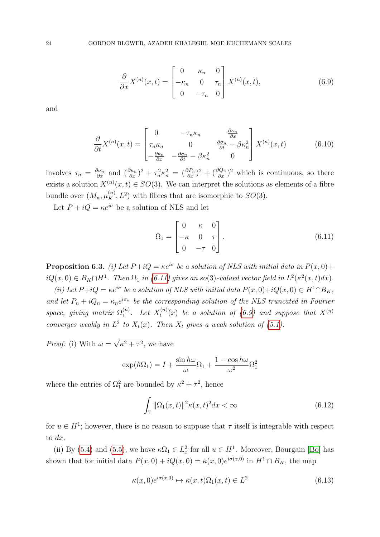<span id="page-23-1"></span>
$$
\frac{\partial}{\partial x} X^{(n)}(x,t) = \begin{bmatrix} 0 & \kappa_n & 0 \\ -\kappa_n & 0 & \tau_n \\ 0 & -\tau_n & 0 \end{bmatrix} X^{(n)}(x,t), \tag{6.9}
$$

and

<span id="page-23-3"></span>
$$
\frac{\partial}{\partial t} X^{(n)}(x,t) = \begin{bmatrix} 0 & -\tau_n \kappa_n & \frac{\partial \kappa_n}{\partial x} \\ \tau_n \kappa_n & 0 & \frac{\partial \sigma_n}{\partial t} - \beta \kappa_n^2 \\ -\frac{\partial \kappa_n}{\partial x} & -\frac{\partial \sigma_n}{\partial t} - \beta \kappa_n^2 & 0 \end{bmatrix} X^{(n)}(x,t) \tag{6.10}
$$

involves  $\tau_n = \frac{\partial \sigma_n}{\partial x}$  and  $(\frac{\partial \kappa_n}{\partial x})^2 + \tau_n^2 \kappa_n^2 = (\frac{\partial P_n}{\partial x})^2 + (\frac{\partial Q_n}{\partial x})^2$  which is continuous, so there exists a solution  $X^{(n)}(x,t) \in SO(3)$ . We can interpret the solutions as elements of a fibre bundle over  $(M_n, \mu_K^{(n)}, L^2)$  with fibres that are isomorphic to  $SO(3)$ .

Let  $P + iQ = \kappa e^{i\sigma}$  be a solution of NLS and let

<span id="page-23-0"></span>
$$
\Omega_1 = \begin{bmatrix} 0 & \kappa & 0 \\ -\kappa & 0 & \tau \\ 0 & -\tau & 0 \end{bmatrix} . \tag{6.11}
$$

**Proposition 6.3.** (i) Let  $P + iQ = \kappa e^{i\sigma}$  be a solution of NLS with initial data in  $P(x, 0) +$  $iQ(x,0) \in B_K \cap H^1$ . Then  $\Omega_1$  in [\(6.11\)](#page-23-0) gives an so(3)-valued vector field in  $L^2(\kappa^2(x,t)dx)$ .

(ii) Let  $P+iQ = \kappa e^{i\sigma}$  be a solution of NLS with initial data  $P(x, 0)+iQ(x, 0) \in H^1 \cap B_K$ , and let  $P_n + iQ_n = \kappa_n e^{i\sigma_n}$  be the corresponding solution of the NLS truncated in Fourier space, giving matrix  $\Omega_1^{(n)}$  $1^{(n)}$ . Let  $X_t^{(n)}$  $t^{(n)}_t(x)$  be a solution of [\(6.9\)](#page-23-1) and suppose that  $X^{(n)}$ converges weakly in  $L^2$  to  $X_t(x)$ . Then  $X_t$  gives a weak solution of [\(5.1\)](#page-18-0).

*Proof.* (i) With  $\omega =$ √  $\kappa^2 + \tau^2$ , we have

$$
\exp(h\Omega_1) = I + \frac{\sin h\omega}{\omega}\Omega_1 + \frac{1 - \cos h\omega}{\omega^2}\Omega_1^2
$$

where the entries of  $\Omega_1^2$  are bounded by  $\kappa^2 + \tau^2$ , hence

<span id="page-23-2"></span>
$$
\int_{\mathbb{T}} \|\Omega_1(x,t)\|^2 \kappa(x,t)^2 dx < \infty \tag{6.12}
$$

for  $u \in H^1$ ; however, there is no reason to suppose that  $\tau$  itself is integrable with respect to dx.

(ii) By [\(5.4\)](#page-19-3) and [\(5.5\)](#page-19-2), we have  $\kappa \Omega_1 \in L^2_x$  for all  $u \in H^1$ . Moreover, Bourgain [\[Bo\]](#page-34-1) has shown that for initial data  $P(x, 0) + iQ(x, 0) = \kappa(x, 0)e^{i\sigma(x, 0)}$  in  $H^1 \cap B_K$ , the map

$$
\kappa(x,0)e^{i\sigma(x,0)} \mapsto \kappa(x,t)\Omega_1(x,t) \in L^2
$$
\n(6.13)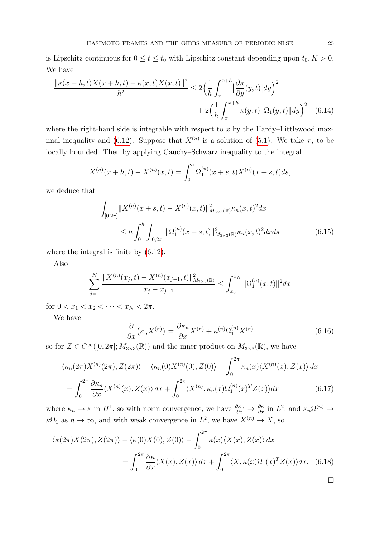is Lipschitz continuous for  $0 \le t \le t_0$  with Lipschitz constant depending upon  $t_0, K > 0$ . We have

$$
\frac{\|\kappa(x+h,t)X(x+h,t) - \kappa(x,t)X(x,t)\|^2}{h^2} \le 2\left(\frac{1}{h}\int_x^{x+h} |\frac{\partial \kappa}{\partial y}(y,t)| dy\right)^2
$$

$$
+ 2\left(\frac{1}{h}\int_x^{x+h} \kappa(y,t) \|\Omega_1(y,t)\| dy\right)^2 \quad (6.14)
$$

where the right-hand side is integrable with respect to  $x$  by the Hardy–Littlewood max-imal inequality and [\(6.12\)](#page-23-2). Suppose that  $X^{(n)}$  is a solution of [\(5.1\)](#page-18-0). We take  $\tau_n$  to be locally bounded. Then by applying Cauchy–Schwarz inequality to the integral

$$
X^{(n)}(x+h,t) - X^{(n)}(x,t) = \int_0^h \Omega_1^{(n)}(x+s,t)X^{(n)}(x+s,t)ds,
$$

we deduce that

$$
\int_{[0,2\pi]} \|X^{(n)}(x+s,t) - X^{(n)}(x,t)\|_{M_{3\times 3}(\mathbb{R})}^2 \kappa_n(x,t)^2 dx
$$
\n
$$
\leq h \int_0^h \int_{[0,2\pi]} \|\Omega_1^{(n)}(x+s,t)\|_{M_{3\times 3}(\mathbb{R})}^2 \kappa_n(x,t)^2 dx ds \tag{6.15}
$$

where the integral is finite by [\(6.12\)](#page-23-2).

Also

$$
\sum_{j=1}^{N} \frac{\|X^{(n)}(x_j,t) - X^{(n)}(x_{j-1},t)\|_{M_{3\times 3}}^2}{x_j - x_{j-1}} \leq \int_{x_0}^{x_N} \|\Omega_1^{(n)}(x,t)\|^2 dx
$$

for  $0 < x_1 < x_2 < \cdots < x_N < 2\pi$ .

We have

$$
\frac{\partial}{\partial x} \left( \kappa_n X^{(n)} \right) = \frac{\partial \kappa_n}{\partial x} X^{(n)} + \kappa^{(n)} \Omega_1^{(n)} X^{(n)} \tag{6.16}
$$

so for  $Z \in C^{\infty}([0, 2\pi]; M_{3\times 3}(\mathbb{R}))$  and the inner product on  $M_{3\times 3}(\mathbb{R})$ , we have

$$
\langle \kappa_n(2\pi) X^{(n)}(2\pi), Z(2\pi) \rangle - \langle \kappa_n(0) X^{(n)}(0), Z(0) \rangle - \int_0^{2\pi} \kappa_n(x) \langle X^{(n)}(x), Z(x) \rangle dx
$$
  
= 
$$
\int_0^{2\pi} \frac{\partial \kappa_n}{\partial x} \langle X^{(n)}(x), Z(x) \rangle dx + \int_0^{2\pi} \langle X^{(n)}, \kappa_n(x) \Omega_1^{(n)}(x)^T Z(x) \rangle dx
$$
 (6.17)

where  $\kappa_n \to \kappa$  in  $H^1$ , so with norm convergence, we have  $\frac{\partial \kappa_n}{\partial x} \to \frac{\partial \kappa}{\partial x}$  in  $L^2$ , and  $\kappa_n \Omega^{(n)} \to$  $\kappa\Omega_1$  as  $n \to \infty$ , and with weak convergence in  $L^2$ , we have  $X^{(n)} \to X$ , so

$$
\langle \kappa(2\pi)X(2\pi), Z(2\pi) \rangle - \langle \kappa(0)X(0), Z(0) \rangle - \int_0^{2\pi} \kappa(x) \langle X(x), Z(x) \rangle dx
$$
  
= 
$$
\int_0^{2\pi} \frac{\partial \kappa}{\partial x} \langle X(x), Z(x) \rangle dx + \int_0^{2\pi} \langle X, \kappa(x) \Omega_1(x)^T Z(x) \rangle dx.
$$
 (6.18)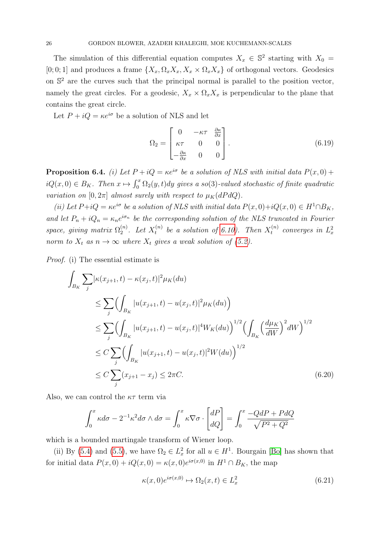The simulation of this differential equation computes  $X_x \in \mathbb{S}^2$  starting with  $X_0 =$ [0; 0; 1] and produces a frame  $\{X_x, \Omega_x X_x, X_x \times \Omega_x X_x\}$  of orthogonal vectors. Geodesics on  $\mathbb{S}^2$  are the curves such that the principal normal is parallel to the position vector, namely the great circles. For a geodesic,  $X_x \times \Omega_x X_x$  is perpendicular to the plane that contains the great circle.

Let  $P + iQ = \kappa e^{i\sigma}$  be a solution of NLS and let

$$
\Omega_2 = \begin{bmatrix} 0 & -\kappa \tau & \frac{\partial \kappa}{\partial x} \\ \kappa \tau & 0 & 0 \\ -\frac{\partial \kappa}{\partial x} & 0 & 0 \end{bmatrix} . \tag{6.19}
$$

**Proposition 6.4.** (i) Let  $P + iQ = \kappa e^{i\sigma}$  be a solution of NLS with initial data  $P(x, 0) +$  $iQ(x,0) \in B_K$ . Then  $x \mapsto \int_0^x \Omega_2(y,t) dy$  gives a so(3)-valued stochastic of finite quadratic variation on  $[0, 2\pi]$  almost surely with respect to  $\mu_K(dP dQ)$ .

(ii) Let  $P+iQ = \kappa e^{i\sigma}$  be a solution of NLS with initial data  $P(x, 0)+iQ(x, 0) \in H^1 \cap B_K$ , and let  $P_n + iQ_n = \kappa_n e^{i\sigma_n}$  be the corresponding solution of the NLS truncated in Fourier space, giving matrix  $\Omega_2^{(n)}$  $2^{(n)}$ . Let  $X_t^{(n)}$  $t_t^{(n)}$  be a solution of [6.10\)](#page-23-3). Then  $X_t^{(n)}$  $t_t^{(n)}$  converges in  $L_x^2$ norm to  $X_t$  as  $n \to \infty$  where  $X_t$  gives a weak solution of [\(5.2\)](#page-18-1).

Proof. (i) The essential estimate is

$$
\int_{B_K} \sum_{j} |\kappa(x_{j+1}, t) - \kappa(x_j, t)|^2 \mu_K(du)
$$
\n
$$
\leq \sum_{j} \Biggl( \int_{B_K} |u(x_{j+1}, t) - u(x_j, t)|^2 \mu_K(du) \Biggr)
$$
\n
$$
\leq \sum_{j} \Biggl( \int_{B_K} |u(x_{j+1}, t) - u(x_j, t)|^4 W_K(du) \Biggr)^{1/2} \Biggl( \int_{B_K} \Biggl( \frac{d\mu_K}{dW} \Biggr)^2 dW \Biggr)^{1/2}
$$
\n
$$
\leq C \sum_{j} \Biggl( \int_{B_K} |u(x_{j+1}, t) - u(x_j, t)|^2 W(du) \Biggr)^{1/2}
$$
\n
$$
\leq C \sum_{j} (x_{j+1} - x_j) \leq 2\pi C. \tag{6.20}
$$

Also, we can control the  $\kappa\tau$  term via

$$
\int_0^x \kappa d\sigma - 2^{-1} \kappa^2 d\sigma \wedge d\sigma = \int_0^x \kappa \nabla \sigma \cdot \begin{bmatrix} dP \\ dQ \end{bmatrix} = \int_0^x \frac{-QdP + PdQ}{\sqrt{P^2 + Q^2}}
$$

which is a bounded martingale transform of Wiener loop.

(ii) By [\(5.4\)](#page-19-3) and [\(5.5\)](#page-19-2), we have  $\Omega_2 \in L^2_x$  for all  $u \in H^1$ . Bourgain [\[Bo\]](#page-34-1) has shown that for initial data  $P(x, 0) + iQ(x, 0) = \kappa(x, 0)e^{i\sigma(x, 0)}$  in  $H^1 \cap B_K$ , the map

$$
\kappa(x,0)e^{i\sigma(x,0)} \mapsto \Omega_2(x,t) \in L^2_x \tag{6.21}
$$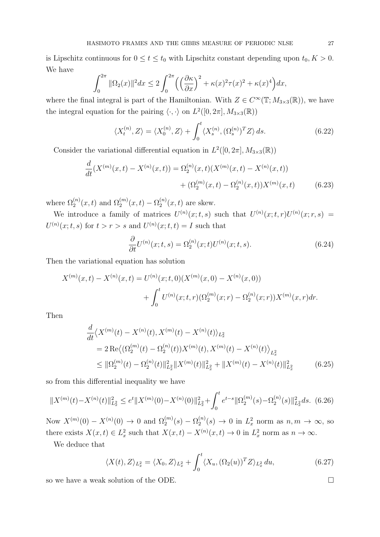is Lipschitz continuous for  $0 \le t \le t_0$  with Lipschitz constant depending upon  $t_0, K > 0$ . We have

$$
\int_0^{2\pi} \|\Omega_2(x)\|^2 dx \le 2\int_0^{2\pi} \left(\left(\frac{\partial \kappa}{\partial x}\right)^2 + \kappa(x)^2 \tau(x)^2 + \kappa(x)^4\right) dx,
$$

where the final integral is part of the Hamiltonian. With  $Z \in C^{\infty}(\mathbb{T}; M_{3\times3}(\mathbb{R}))$ , we have the integral equation for the pairing  $\langle \cdot, \cdot \rangle$  on  $L^2([0, 2\pi], M_{3\times 3}(\mathbb{R}))$ 

$$
\langle X_t^{(n)}, Z \rangle = \langle X_0^{(n)}, Z \rangle + \int_0^t \langle X_s^{(n)}, (\Omega_s^{(n)})^T Z \rangle ds. \tag{6.22}
$$

Consider the variational differential equation in  $L^2([0, 2\pi], M_{3\times 3}(\mathbb{R}))$ 

$$
\frac{d}{dt}(X^{(m)}(x,t) - X^{(n)}(x,t)) = \Omega_2^{(n)}(x,t)(X^{(m)}(x,t) - X^{(n)}(x,t)) \n+ (\Omega_2^{(m)}(x,t) - \Omega_2^{(n)}(x,t))X^{(m)}(x,t)
$$
\n(6.23)

where  $\Omega_2^{(n)}(x,t)$  and  $\Omega_2^{(m)}(x,t) - \Omega_2^{(n)}$  $2^{(n)}(x,t)$  are skew.

We introduce a family of matrices  $U^{(n)}(x;t,s)$  such that  $U^{(n)}(x;t,r)U^{(n)}(x;r,s)$  $U^{(n)}(x;t,s)$  for  $t > r > s$  and  $U^{(n)}(x;t,t) = I$  such that

$$
\frac{\partial}{\partial t}U^{(n)}(x;t,s) = \Omega_2^{(n)}(x;t)U^{(n)}(x;t,s).
$$
\n(6.24)

Then the variational equation has solution

$$
X^{(m)}(x,t) - X^{(n)}(x,t) = U^{(n)}(x;t,0)(X^{(m)}(x,0) - X^{(n)}(x,0))
$$
  
+ 
$$
\int_0^t U^{(n)}(x;t,r)(\Omega_2^{(m)}(x,r) - \Omega_2^{(n)}(x,r))X^{(m)}(x,r)dr.
$$

Then

$$
\frac{d}{dt}\langle X^{(m)}(t) - X^{(n)}(t), X^{(m)}(t) - X^{(n)}(t)\rangle_{L_x^2}
$$
\n
$$
= 2 \operatorname{Re}\langle (\Omega_2^{(m)}(t) - \Omega_2^{(n)}(t))X^{(m)}(t), X^{(m)}(t) - X^{(n)}(t)\rangle_{L_x^2}
$$
\n
$$
\leq \|\Omega_2^{(m)}(t) - \Omega_2^{(n)}(t)\|_{L_x^2}^2 \|X^{(m)}(t)\|_{L_x^2}^2 + \|X^{(m)}(t) - X^{(n)}(t)\|_{L_x^2}^2 \tag{6.25}
$$

so from this differential inequality we have

<span id="page-26-0"></span>
$$
||X^{(m)}(t) - X^{(n)}(t)||_{L_x^2}^2 \le e^t ||X^{(m)}(0) - X^{(n)}(0)||_{L_x^2}^2 + \int_0^t e^{t-s} ||\Omega_2^{(m)}(s) - \Omega_2^{(n)}(s)||_{L_x^2}^2 ds. \tag{6.26}
$$

Now  $X^{(m)}(0) - X^{(n)}(0) \to 0$  and  $\Omega_2^{(m)}(s) - \Omega_2^{(n)}$  $2^{(n)}_2(s) \to 0$  in  $L_x^2$  norm as  $n, m \to \infty$ , so there exists  $X(x,t) \in L_x^2$  such that  $X(x,t) - X^{(n)}(x,t) \to 0$  in  $L_x^2$  norm as  $n \to \infty$ .

We deduce that

$$
\langle X(t), Z \rangle_{L_x^2} = \langle X_0, Z \rangle_{L_x^2} + \int_0^t \langle X_u, (\Omega_2(u))^T Z \rangle_{L_x^2} du,
$$
\n(6.27)

so we have a weak solution of the ODE.  $\Box$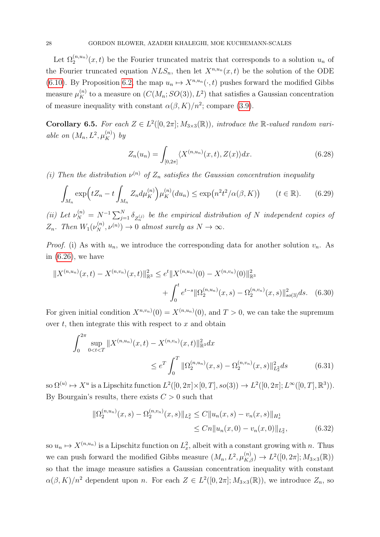Let  $\Omega_2^{(n,u_n)}(x,t)$  be the Fourier truncated matrix that corresponds to a solution  $u_n$  of the Fourier truncated equation  $NLS_n$ , then let  $X^{n,u_n}(x,t)$  be the solution of the ODE [\(6.10\)](#page-23-3). By Proposition [6.2,](#page-22-0) the map  $u_n \mapsto X^{n,u_n}(\cdot, t)$  pushes forward the modified Gibbs measure  $\mu_K^{(n)}$  to a measure on  $(C(M_n; SO(3)), L^2)$  that satisfies a Gaussian concentration of measure inequality with constant  $\alpha(\beta, K)/n^2$ ; compare [\(3.9\)](#page-6-2).

**Corollary 6.5.** For each  $Z \in L^2([0, 2\pi]; M_{3 \times 3}(\mathbb{R}))$ , introduce the  $\mathbb{R}\text{-}valued$  random variable on  $(M_n, L^2, \mu_K^{(n)})$  by

$$
Z_n(u_n) = \int_{[0,2\pi]} \langle X^{(n,u_n)}(x,t), Z(x) \rangle dx.
$$
 (6.28)

(i) Then the distribution  $\nu^{(n)}$  of  $Z_n$  satisfies the Gaussian concentration inequality

<span id="page-27-0"></span>
$$
\int_{M_n} \exp\left(tZ_n - t\int_{M_n} Z_n d\mu_K^{(n)}\right) \mu_K^{(n)}(du_n) \le \exp\left(n^2 t^2/\alpha(\beta, K)\right) \qquad (t \in \mathbb{R}).\tag{6.29}
$$

(ii) Let  $\nu_N^{(n)} = N^{-1} \sum_{j=1}^N \delta_{Z_n^{(j)}}$  be the empirical distribution of N independent copies of  $Z_n$ . Then  $W_1(\nu_N^{(n)}, \nu^{(n)}) \to 0$  almost surely as  $N \to \infty$ .

*Proof.* (i) As with  $u_n$ , we introduce the corresponding data for another solution  $v_n$ . As in [\(6.26\)](#page-26-0), we have

$$
||X^{(n,u_n)}(x,t) - X^{(n,v_n)}(x,t)||_{\mathbb{R}^3}^2 \le e^t ||X^{(n,u_n)}(0) - X^{(n,v_n)}(0)||_{\mathbb{R}^3}^2 + \int_0^t e^{t-s} ||\Omega_2^{(n,u_n)}(x,s) - \Omega_2^{(n,v_n)}(x,s)||_{so(3)}^2 ds. \tag{6.30}
$$

For given initial condition  $X^{n,v_n}(0) = X^{(n,u_n)}(0)$ , and  $T > 0$ , we can take the supremum over  $t$ , then integrate this with respect to  $x$  and obtain

$$
\int_0^{2\pi} \sup_{0 < t < T} \|X^{(n, u_n)}(x, t) - X^{(n, v_n)}(x, t)\|_{\mathbb{R}^3}^2 dx
$$
\n
$$
\leq e^T \int_0^T \|\Omega_2^{(n, u_n)}(x, s) - \Omega_2^{(n, v_n)}(x, s)\|_{L_x^2}^2 ds \tag{6.31}
$$

so  $\Omega^{(u)} \mapsto X^u$  is a Lipschitz function  $L^2([0, 2\pi] \times [0,T], so(3)) \to L^2([0, 2\pi]; L^\infty([0,T], \mathbb{R}^3)).$ By Bourgain's results, there exists  $C > 0$  such that

$$
\|\Omega_2^{(n,u_n)}(x,s) - \Omega_2^{(n,v_n)}(x,s)\|_{L_x^2} \le C \|u_n(x,s) - v_n(x,s)\|_{H_x^1}
$$
  
\n
$$
\le Cn \|u_n(x,0) - v_n(x,0)\|_{L_x^2},
$$
\n(6.32)

so  $u_n \mapsto X^{(n,u_n)}$  is a Lipschitz function on  $L^2_x$ , albeit with a constant growing with n. Thus we can push forward the modified Gibbs measure  $(M_n, L^2, \mu_{K,\beta}^{(n)}) \to L^2([0, 2\pi]; M_{3\times 3}(\mathbb{R}))$ so that the image measure satisfies a Gaussian concentration inequality with constant  $\alpha(\beta, K)/n^2$  dependent upon n. For each  $Z \in L^2([0, 2\pi]; M_{3 \times 3}(\mathbb{R}))$ , we introduce  $Z_n$ , so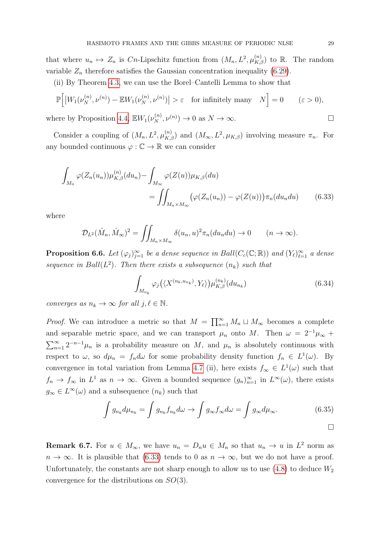that where  $u_n \mapsto Z_n$  is Cn-Lipschitz function from  $(M_n, L^2, \mu_{K,\beta}^{(n)})$  to R. The random variable  $Z_n$  therefore satisfies the Gaussian concentration inequality [\(6.29\)](#page-27-0).

(ii) By Theorem [4.3,](#page-11-0) we can use the Borel–Cantelli Lemma to show that

$$
\mathbb{P}\Big[\big|W_1(\nu_N^{(n)},\nu^{(n)}) - \mathbb{E}W_1(\nu_N^{(n)},\nu^{(n)})\big| > \varepsilon \quad \text{for infinitely many} \quad N\Big] = 0 \qquad (\varepsilon > 0),
$$

where by Proposition [4.4,](#page-12-1)  $\mathbb{E}W_1(\nu_N^{(n)}, \nu^{(n)}) \to 0$  as  $N \to \infty$ .

Consider a coupling of  $(M_n, L^2, \mu_{K,\beta}^{(n)})$  and  $(M_\infty, L^2, \mu_{K,\beta})$  involving measure  $\pi_n$ . For any bounded continuous  $\varphi : \mathbb{C} \to \mathbb{R}$  we can consider

$$
\int_{M_n} \varphi(Z_n(u_n)) \mu_{K,\beta}^{(n)}(du_n) - \int_{M_\infty} \varphi(Z(u)) \mu_{K,\beta}(du)
$$
\n
$$
= \iint_{M_n \times M_\infty} \left( \varphi(Z_n(u_n)) - \varphi(Z(u)) \right) \pi_n(du_n du) \tag{6.33}
$$

where

$$
\mathcal{D}_{L^2}(\hat{M}_n, \hat{M}_\infty)^2 = \iint_{M_n \times M_\infty} \delta(u_n, u)^2 \pi_n(du_n du) \to 0 \qquad (n \to \infty).
$$

**Proposition 6.6.** Let  $(\varphi_j)_{j=1}^{\infty}$  be a dense sequence in Ball( $C_c(\mathbb{C}; \mathbb{R})$ ) and  $(Y_{\ell})_{\ell=1}^{\infty}$  a dense sequence in Ball( $L^2$ ). Then there exists a subsequence  $(n_k)$  such that

<span id="page-28-0"></span>
$$
\int_{M_{n_k}} \varphi_j\left(\langle X^{(n_k, u_{n_k})}, Y_\ell \rangle\right) \mu_{K,\beta}^{(n_k)}(du_{n_k}) \tag{6.34}
$$

converges as  $n_k \to \infty$  for all  $j, \ell \in \mathbb{N}$ .

*Proof.* We can introduce a metric so that  $M = \prod_{n=1}^{\infty} M_n \sqcup M_{\infty}$  becomes a complete and separable metric space, and we can transport  $\mu_n$  onto M. Then  $\omega = 2^{-1}\mu_\infty +$  $\sum_{n=1}^{\infty} 2^{-n-1} \mu_n$  is a probability measure on M, and  $\mu_n$  is absolutely continuous with respect to  $\omega$ , so  $d\mu_n = f_n d\omega$  for some probability density function  $f_n \in L^1(\omega)$ . By convergence in total variation from Lemma [4.7](#page-15-1) (ii), here exists  $f_{\infty} \in L^{1}(\omega)$  such that  $f_n \to f_\infty$  in  $L^1$  as  $n \to \infty$ . Given a bounded sequence  $(g_n)_{n=1}^\infty$  in  $L^\infty(\omega)$ , there exists  $g_{\infty} \in L^{\infty}(\omega)$  and a subsequence  $(n_k)$  such that

$$
\int g_{n_k} d\mu_{n_k} = \int g_{n_k} f_{n_k} d\omega \to \int g_{\infty} f_{\infty} d\omega = \int g_{\infty} d\mu_{\infty}.
$$
 (6.35)

**Remark 6.7.** For  $u \in M_\infty$ , we have  $u_n = D_n u \in M_n$  so that  $u_n \to u$  in  $L^2$  norm as  $n \to \infty$ . It is plausible that [\(6.33\)](#page-28-0) tends to 0 as  $n \to \infty$ , but we do not have a proof. Unfortunately, the constants are not sharp enough to allow us to use  $(4.8)$  to deduce  $W_2$ convergence for the distributions on SO(3).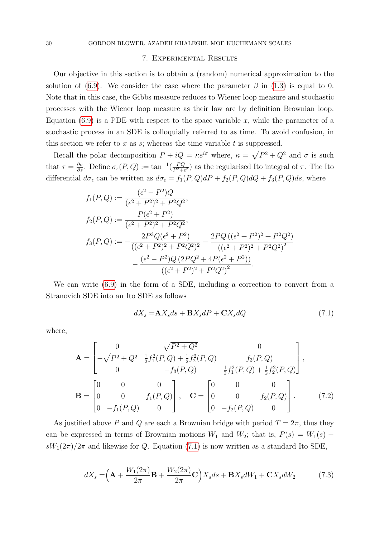### 7. Experimental Results

Our objective in this section is to obtain a (random) numerical approximation to the solution of [\(6.9\)](#page-23-1). We consider the case where the parameter  $\beta$  in [\(1.3\)](#page-0-0) is equal to 0. Note that in this case, the Gibbs measure reduces to Wiener loop measure and stochastic processes with the Wiener loop measure as their law are by definition Brownian loop. Equation  $(6.9)$  is a PDE with respect to the space variable x, while the parameter of a stochastic process in an SDE is colloquially referred to as time. To avoid confusion, in this section we refer to x as s; whereas the time variable t is suppressed.

Recall the polar decomposition  $P + iQ = \kappa e^{i\sigma}$  where,  $\kappa = \sqrt{P^2 + Q^2}$  and  $\sigma$  is such that  $\tau = \frac{\partial \sigma}{\partial s}$ . Define  $\sigma_{\epsilon}(P, Q) := \tan^{-1}(\frac{PQ}{P^2 + \epsilon})$  $\frac{PQ}{P^2+\epsilon^2}$  as the regularised Ito integral of  $\tau$ . The Ito differential  $d\sigma_{\epsilon}$  can be written as  $d\sigma_{\epsilon} = f_1(P,Q)dP + f_2(P,Q)dQ + f_3(P,Q)ds$ , where

$$
f_1(P,Q) := \frac{(\epsilon^2 - P^2)Q}{(\epsilon^2 + P^2)^2 + P^2 Q^2},
$$
  
\n
$$
f_2(P,Q) := \frac{P(\epsilon^2 + P^2)}{(\epsilon^2 + P^2)^2 + P^2 Q^2},
$$
  
\n
$$
f_3(P,Q) := -\frac{2P^3 Q(\epsilon^2 + P^2)}{((\epsilon^2 + P^2)^2 + P^2 Q^2)^2} - \frac{2PQ((\epsilon^2 + P^2)^2 + P^2 Q^2)}{((\epsilon^2 + P^2)^2 + P^2 Q^2)^2} - \frac{(\epsilon^2 - P^2)Q(2PQ^2 + 4P(\epsilon^2 + P^2))}{((\epsilon^2 + P^2)^2 + P^2 Q^2)^2}.
$$

We can write [\(6.9\)](#page-23-1) in the form of a SDE, including a correction to convert from a Stranovich SDE into an Ito SDE as follows

<span id="page-29-1"></span><span id="page-29-0"></span>
$$
dX_s = \mathbf{A}X_s ds + \mathbf{B}X_s dP + \mathbf{C}X_s dQ \tag{7.1}
$$

where,

$$
\mathbf{A} = \begin{bmatrix} 0 & \sqrt{P^2 + Q^2} & 0 \\ -\sqrt{P^2 + Q^2} & \frac{1}{2} f_1^2(P, Q) + \frac{1}{2} f_2^2(P, Q) & f_3(P, Q) \\ 0 & -f_3(P, Q) & \frac{1}{2} f_1^2(P, Q) + \frac{1}{2} f_2^2(P, Q) \end{bmatrix},
$$

$$
\mathbf{B} = \begin{bmatrix} 0 & 0 & 0 \\ 0 & 0 & f_1(P, Q) \\ 0 & -f_1(P, Q) & 0 \end{bmatrix}, \quad \mathbf{C} = \begin{bmatrix} 0 & 0 & 0 \\ 0 & 0 & f_2(P, Q) \\ 0 & -f_2(P, Q) & 0 \end{bmatrix}. \tag{7.2}
$$

As justified above P and Q are each a Brownian bridge with period  $T = 2\pi$ , thus they can be expressed in terms of Brownian motions  $W_1$  and  $W_2$ ; that is,  $P(s) = W_1(s)$  –  $sW_1(2\pi)/2\pi$  and likewise for Q. Equation [\(7.1\)](#page-29-0) is now written as a standard Ito SDE,

<span id="page-29-2"></span>
$$
dX_s = \left(\mathbf{A} + \frac{W_1(2\pi)}{2\pi}\mathbf{B} + \frac{W_2(2\pi)}{2\pi}\mathbf{C}\right)X_s ds + \mathbf{B}X_s dW_1 + \mathbf{C}X_s dW_2 \tag{7.3}
$$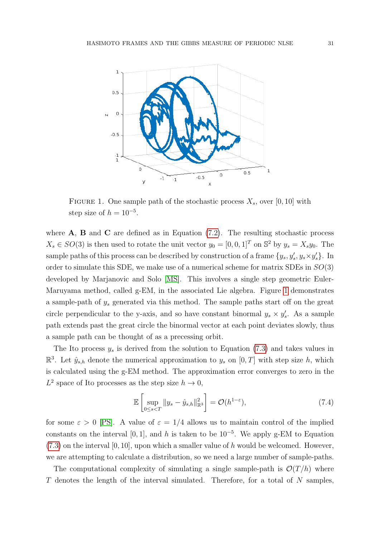

<span id="page-30-0"></span>FIGURE 1. One sample path of the stochastic process  $X_s$ , over [0, 10] with step size of  $h = 10^{-5}$ .

where  $A$ ,  $B$  and  $C$  are defined as in Equation [\(7.2\)](#page-29-1). The resulting stochastic process  $X_s \in SO(3)$  is then used to rotate the unit vector  $y_0 = [0, 0, 1]^T$  on  $\mathbb{S}^2$  by  $y_s = X_s y_0$ . The sample paths of this process can be described by construction of a frame  $\{y_s, y'_s, y_s \times y'_s\}$ . In order to simulate this SDE, we make use of a numerical scheme for matrix SDEs in  $SO(3)$ developed by Marjanovic and Solo [\[MS\]](#page-34-16). This involves a single step geometric Euler-Maruyama method, called g-EM, in the associated Lie algebra. Figure [1](#page-30-0) demonstrates a sample-path of  $y_s$  generated via this method. The sample paths start off on the great circle perpendicular to the y-axis, and so have constant binormal  $y_s \times y'_s$ . As a sample path extends past the great circle the binormal vector at each point deviates slowly, thus a sample path can be thought of as a precessing orbit.

The Ito process  $y_s$  is derived from the solution to Equation [\(7.3\)](#page-29-2) and takes values in  $\mathbb{R}^3$ . Let  $\hat{y}_{s,h}$  denote the numerical approximation to  $y_s$  on  $[0,T]$  with step size h, which is calculated using the g-EM method. The approximation error converges to zero in the  $L^2$  space of Ito processes as the step size  $h \to 0$ ,

$$
\mathbb{E}\left[\sup_{0\leq s
$$

for some  $\varepsilon > 0$  [\[PS\]](#page-35-6). A value of  $\varepsilon = 1/4$  allows us to maintain control of the implied constants on the interval [0, 1], and h is taken to be  $10^{-5}$ . We apply g-EM to Equation  $(7.3)$  on the interval  $[0, 10]$ , upon which a smaller value of h would be welcomed. However, we are attempting to calculate a distribution, so we need a large number of sample-paths.

The computational complexity of simulating a single sample-path is  $\mathcal{O}(T/h)$  where T denotes the length of the interval simulated. Therefore, for a total of N samples,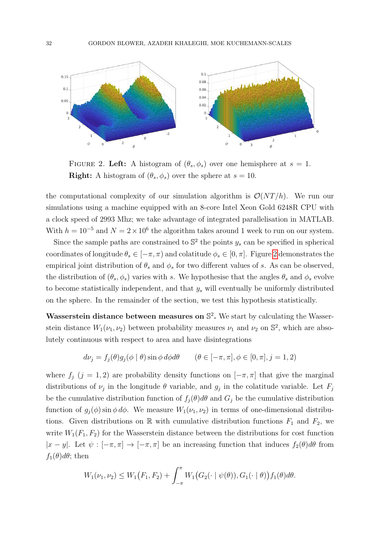

<span id="page-31-0"></span>FIGURE 2. Left: A histogram of  $(\theta_s, \phi_s)$  over one hemisphere at  $s = 1$ . **Right:** A histogram of  $(\theta_s, \phi_s)$  over the sphere at  $s = 10$ .

the computational complexity of our simulation algorithm is  $\mathcal{O}(NT/h)$ . We run our simulations using a machine equipped with an 8-core Intel Xeon Gold 6248R CPU with a clock speed of 2993 Mhz; we take advantage of integrated parallelisation in MATLAB. With  $h = 10^{-5}$  and  $N = 2 \times 10^6$  the algorithm takes around 1 week to run on our system.

Since the sample paths are constrained to  $\mathbb{S}^2$  the points  $y_s$  can be specified in spherical coordinates of longitude  $\theta_s \in [-\pi, \pi)$  and colatitude  $\phi_s \in [0, \pi]$ . Figure [2](#page-31-0) demonstrates the empirical joint distribution of  $\theta_s$  and  $\phi_s$  for two different values of s. As can be observed, the distribution of  $(\theta_s, \phi_s)$  varies with s. We hypothesise that the angles  $\theta_s$  and  $\phi_s$  evolve to become statistically independent, and that  $y_s$  will eventually be uniformly distributed on the sphere. In the remainder of the section, we test this hypothesis statistically.

Wasserstein distance between measures on  $\mathbb{S}^2$ . We start by calculating the Wasserstein distance  $W_1(\nu_1, \nu_2)$  between probability measures  $\nu_1$  and  $\nu_2$  on  $\mathbb{S}^2$ , which are absolutely continuous with respect to area and have disintegrations

$$
d\nu_j = f_j(\theta)g_j(\phi \mid \theta) \sin \phi \, d\phi d\theta \qquad (\theta \in [-\pi, \pi], \phi \in [0, \pi], j = 1, 2)
$$

where  $f_j$  (j = 1, 2) are probability density functions on  $[-\pi, \pi]$  that give the marginal distributions of  $\nu_j$  in the longitude  $\theta$  variable, and  $g_j$  in the colatitude variable. Let  $F_j$ be the cumulative distribution function of  $f_i(\theta)d\theta$  and  $G_j$  be the cumulative distribution function of  $g_i(\phi)$  sin  $\phi d\phi$ . We measure  $W_1(\nu_1, \nu_2)$  in terms of one-dimensional distributions. Given distributions on R with cumulative distribution functions  $F_1$  and  $F_2$ , we write  $W_1(F_1, F_2)$  for the Wasserstein distance between the distributions for cost function  $|x - y|$ . Let  $\psi : [-\pi, \pi] \to [-\pi, \pi]$  be an increasing function that induces  $f_2(\theta)d\theta$  from  $f_1(\theta)d\theta$ ; then

$$
W_1(\nu_1, \nu_2) \le W_1(F_1, F_2) + \int_{-\pi}^{\pi} W_1(G_2(\cdot \mid \psi(\theta)), G_1(\cdot \mid \theta)) f_1(\theta) d\theta.
$$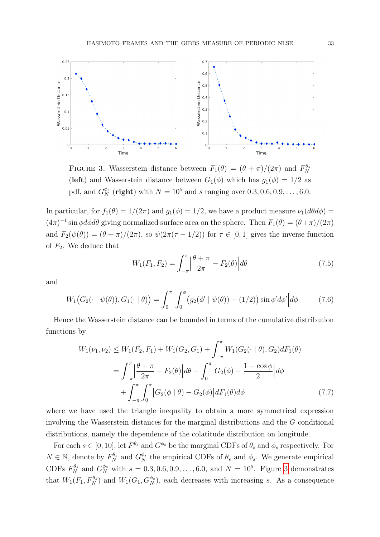

<span id="page-32-0"></span>FIGURE 3. Wasserstein distance between  $F_1(\theta) = (\theta + \pi)/(2\pi)$  and  $F_N^{\theta_s}$ (left) and Wasserstein distance between  $G_1(\phi)$  which has  $g_1(\phi) = 1/2$  as pdf, and  $G_N^{\phi_s}$  (right) with  $N = 10^5$  and s ranging over  $0.3, 0.6, 0.9, \ldots, 6.0$ .

In particular, for  $f_1(\theta) = 1/(2\pi)$  and  $g_1(\phi) = 1/2$ , we have a product measure  $\nu_1(d\theta d\phi) =$  $(4\pi)^{-1}$  sin  $\phi d\phi d\theta$  giving normalized surface area on the sphere. Then  $F_1(\theta) = (\theta + \pi)/(2\pi)$ and  $F_2(\psi(\theta)) = (\theta + \pi)/(2\pi)$ , so  $\psi(2\pi(\tau - 1/2))$  for  $\tau \in [0, 1]$  gives the inverse function of  $F_2$ . We deduce that

$$
W_1(F_1, F_2) = \int_{-\pi}^{\pi} \left| \frac{\theta + \pi}{2\pi} - F_2(\theta) \right| d\theta \tag{7.5}
$$

and

$$
W_1\big(G_2(\cdot \mid \psi(\theta)), G_1(\cdot \mid \theta)\big) = \int_0^{\pi} \Big| \int_0^{\phi} \big(g_2(\phi' \mid \psi(\theta)) - (1/2)\big) \sin \phi' d\phi' \Big| d\phi \tag{7.6}
$$

Hence the Wasserstein distance can be bounded in terms of the cumulative distribution functions by

$$
W_1(\nu_1, \nu_2) \le W_1(F_2, F_1) + W_1(G_2, G_1) + \int_{-\pi}^{\pi} W_1(G_2(\cdot \mid \theta), G_2) dF_1(\theta)
$$
  
= 
$$
\int_{-\pi}^{\pi} \left| \frac{\theta + \pi}{2\pi} - F_2(\theta) \right| d\theta + \int_0^{\pi} \left| G_2(\phi) - \frac{1 - \cos \phi}{2} \right| d\phi
$$
  
+ 
$$
\int_{-\pi}^{\pi} \int_0^{\pi} \left| G_2(\phi \mid \theta) - G_2(\phi) \right| dF_1(\theta) d\phi
$$
 (7.7)

where we have used the triangle inequality to obtain a more symmetrical expression involving the Wasserstein distances for the marginal distributions and the G conditional distributions, namely the dependence of the colatitude distribution on longitude.

For each  $s \in [0, 10]$ , let  $F^{\theta_s}$  and  $G^{\phi_s}$  be the marginal CDFs of  $\theta_s$  and  $\phi_s$  respectively. For  $N \in \mathbb{N}$ , denote by  $F_N^{\theta_s}$  and  $G_N^{\phi_s}$  the empirical CDFs of  $\theta_s$  and  $\phi_s$ . We generate empirical CDFs  $F_N^{\theta_s}$  and  $G_N^{\phi_s}$  with  $s = 0.3, 0.6, 0.9, \ldots, 6.0$ , and  $N = 10^5$ . Figure [3](#page-32-0) demonstrates that  $W_1(F_1, F_N^{\theta_s})$  and  $W_1(G_1, G_N^{\phi_s})$ , each decreases with increasing s. As a consequence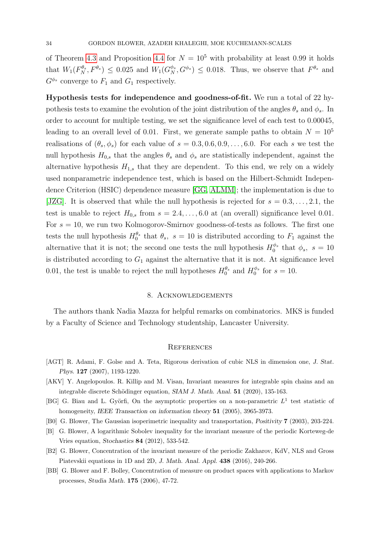of Theorem [4.3](#page-11-0) and Proposition [4.4](#page-12-1) for  $N = 10^5$  with probability at least 0.99 it holds that  $W_1(F_N^{\theta_s}, F^{\theta_s}) \leq 0.025$  and  $W_1(G_N^{\phi_s}, G^{\phi_s}) \leq 0.018$ . Thus, we observe that  $F^{\theta_s}$  and  $G^{\phi_s}$  converge to  $F_1$  and  $G_1$  respectively.

Hypothesis tests for independence and goodness-of-fit. We run a total of 22 hypothesis tests to examine the evolution of the joint distribution of the angles  $\theta_s$  and  $\phi_s$ . In order to account for multiple testing, we set the significance level of each test to 0.00045, leading to an overall level of 0.01. First, we generate sample paths to obtain  $N = 10^5$ realisations of  $(\theta_s, \phi_s)$  for each value of  $s = 0.3, 0.6, 0.9, \ldots, 6.0$ . For each s we test the null hypothesis  $H_{0,s}$  that the angles  $\theta_s$  and  $\phi_s$  are statistically independent, against the alternative hypothesis  $H_{1,s}$  that they are dependent. To this end, we rely on a widely used nonparametric independence test, which is based on the Hilbert-Schmidt Independence Criterion (HSIC) dependence measure [\[GG,](#page-34-17) [ALMM\]](#page-35-7); the implementation is due to [\[JZG\]](#page-34-18). It is observed that while the null hypothesis is rejected for  $s = 0.3, \ldots, 2.1$ , the test is unable to reject  $H_{0,s}$  from  $s = 2.4, \ldots, 6.0$  at (an overall) significance level 0.01. For  $s = 10$ , we run two Kolmogorov-Smirnov goodness-of-tests as follows. The first one tests the null hypothesis  $H_0^{\theta_s}$  that  $\theta_s$ ,  $s = 10$  is distributed according to  $F_1$  against the alternative that it is not; the second one tests the null hypothesis  $H_0^{\phi_s}$  $\int_0^{\phi_s}$  that  $\phi_s$ ,  $s = 10$ is distributed according to  $G_1$  against the alternative that it is not. At significance level 0.01, the test is unable to reject the null hypotheses  $H_0^{\theta_s}$  and  $H_0^{\phi_s}$  $\int_0^{\phi_s}$  for  $s=10$ .

#### 8. Acknowledgements

The authors thank Nadia Mazza for helpful remarks on combinatorics. MKS is funded by a Faculty of Science and Technology studentship, Lancaster University.

### **REFERENCES**

- <span id="page-33-0"></span>[AGT] R. Adami, F. Golse and A. Teta, Rigorous derivation of cubic NLS in dimension one, J. Stat. Phys. 127 (2007), 1193-1220.
- [AKV] Y. Angelopoulos. R. Killip and M. Visan, Invariant measures for integrable spin chains and an integrable discrete Schödinger equation,  $SIAM J$ . Math. Anal.  $51$  (2020), 135-163.
- [BG] G. Biau and L. Györfi, On the asymptotic properties on a non-parametric  $L^1$  test statistic of homogeneity, IEEE Transaction on information theory 51 (2005), 3965-3973.
- <span id="page-33-3"></span>[B0] G. Blower, The Gaussian isoperimetric inequality and transportation, Positivity 7 (2003), 203-224.
- [B] G. Blower, A logarithmic Sobolev inequality for the invariant measure of the periodic Korteweg-de Vries equation, Stochastics 84 (2012), 533-542.
- <span id="page-33-2"></span>[B2] G. Blower, Concentration of the invariant measure of the periodic Zakharov, KdV, NLS and Gross Piatevskii equations in 1D and 2D, J. Math. Anal. Appl. 438 (2016), 240-266.
- <span id="page-33-1"></span>[BB] G. Blower and F. Bolley, Concentration of measure on product spaces with applications to Markov processes, Studia Math. 175 (2006), 47-72.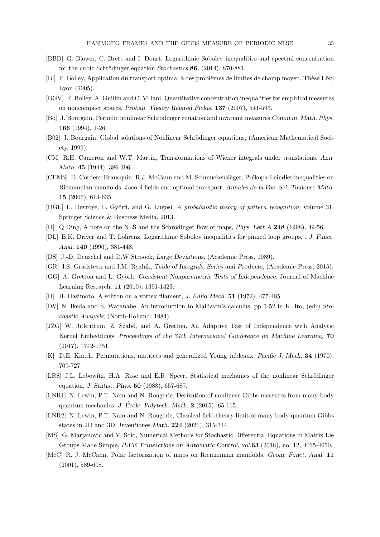- <span id="page-34-2"></span>[BBD] G. Blower, C. Brett and I. Doust, Logarithmic Sobolev inequalities and spectral concentration for the cubic Schrödinger equation Stochastics  $86$ , (2014), 870-881.
- <span id="page-34-8"></span>[Bl] F. Bolley, Application du transport optimal à des problèmes de limites de champ moyen, Thèse ENS Lyon (2005).
- <span id="page-34-10"></span>[BGV] F. Bolley, A. Guillin and C. Villani, Quantitative concentration inequalities for empirical measures on noncompact spaces, Probab. Theory Related Fields, 137 (2007), 541-593.
- <span id="page-34-1"></span>[Bo] J. Bourgain, Periodic nonlinear Schrödinger equation and invariant measures Commun. Math. Phys. 166 (1994), 1-26.
- <span id="page-34-11"></span>[B02] J. Bourgain, Global solutions of Nonlinear Schrödinger equations, (American Mathematical Society, 1999).
- <span id="page-34-6"></span>[CM] R.H. Cameron and W.T. Martin, Transformations of Wiener integrals under translations, Ann. Math. 45 (1944), 386-396.
- <span id="page-34-9"></span>[CEMS] D. Cordero-Erausquin, R.J. McCann and M. Schmuckensläger, Prékopa-Leindler inequalities on Riemannian manifolds, Jacobi fields and optimal transport, Annales de la Fac. Sci. Toulouse Math. 15 (2006), 613-635.
- [DGL] L. Devroye, L. Györfi, and G. Lugosi. A probabilistic theory of pattern recognition, volume 31. Springer Science & Business Media, 2013.
- <span id="page-34-15"></span><span id="page-34-13"></span>[D] Q Ding, A note on the NLS and the Schrödinger flow of maps, Phys. Lett A 248 (1998), 49-56.
- [DL] B.K. Driver and T. Lohrenz, Logarithmic Sobolev inequalities for pinned loop groups, . J. Funct. Anal. 140 (1996), 381-448.
- <span id="page-34-7"></span>[DS] J.-D. Deuschel and D.W Stroock, Large Deviations, (Academic Press, 1989).
- <span id="page-34-17"></span>[GR] I.S. Gradsteyn and I.M. Ryzhik, Table of Integrals, Series and Products, (Academic Press, 2015).
- [GG] A. Gretton and L. Györfi, Consistent Nonparametric Tests of Independence. Journal of Machine Learning Research, 11 (2010), 1391-1423.
- <span id="page-34-14"></span><span id="page-34-12"></span>[H] H. Hasimoto, A soliton on a vortex filament, J. Fluid Mech. 51 (1972), 477-485.
- [IW] N. Ikeda and S. Watanabe, An introduction to Malliavin's calculus, pp 1-52 in K. Ito, (edr) Stochastic Analysis, (North-Holland, 1984).
- <span id="page-34-18"></span>[JZG] W. Jitkrittum, Z. Szabó, and A. Gretton, An Adaptive Test of Independence with Analytic Kernel Embeddings. Proceedings of the 34th International Conference on Machine Learning, 70 (2017), 1742-1751.
- <span id="page-34-4"></span>[K] D.E. Knuth, Permutations, matrices and generalized Young tableaux, Pacific J. Math. 34 (1970), 709-727.
- <span id="page-34-0"></span>[LRS] J.L. Lebowitz, H.A. Rose and E.R. Speer, Statistical mechanics of the nonlinear Schrödinger equation, J. Statist. Phys. 50 (1988), 657-687.
- <span id="page-34-3"></span>[LNR1] N. Lewin, P.T. Nam and N. Rougerie, Derivation of nonlinear Gibbs measures from many-body quantum mechanics, J. École. Polytech. Math.  $2$  (2015), 65-115.
- <span id="page-34-5"></span>[LNR2] N. Lewin, P.T. Nam and N. Rougerie, Classical field theory limit of many body quantum Gibbs states in 2D and 3D, Inventiones Math. 224 (2021), 315-344.
- <span id="page-34-16"></span>[MS] G. Marjanovic and V. Solo, Numerical Methods for Stochastic Differential Equations in Matrix Lie Groups Made Simple, IEEE Transactions on Automatic Control, vol.63 (2018), no. 12, 4035-4050.
- [McC] R. J. McCann, Polar factorization of maps on Riemannian manifolds, Geom. Funct. Anal. 11 (2001), 589-608.